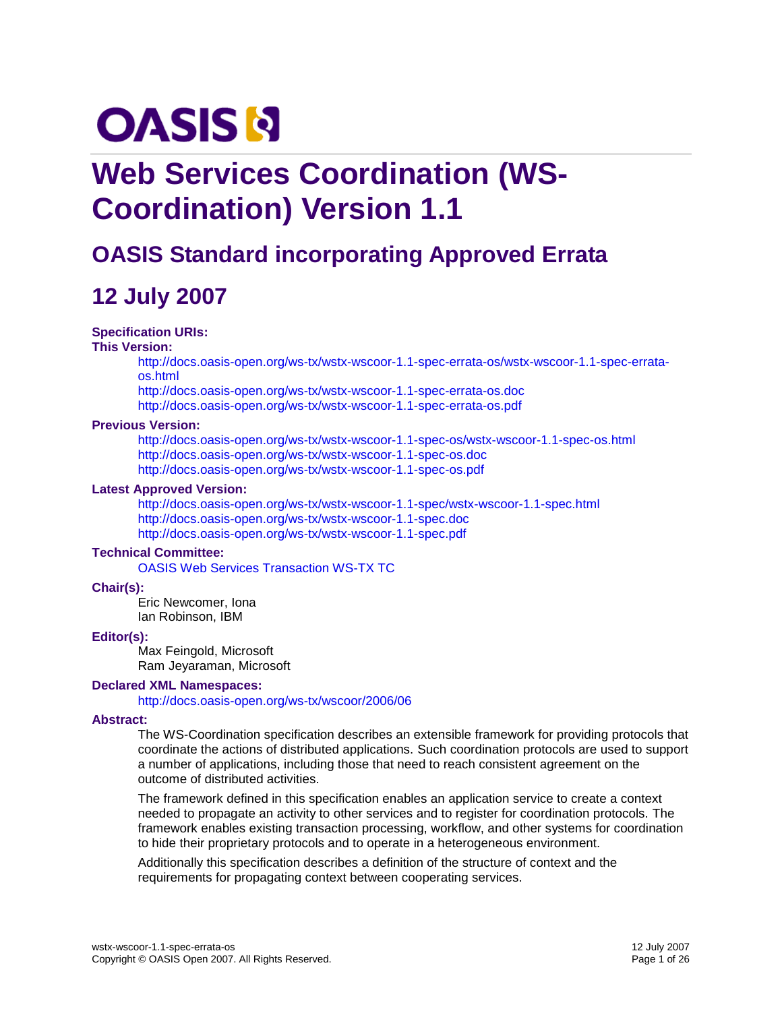# **OASIS N**

# **Web Services Coordination (WS-Coordination) Version 1.1**

# **OASIS Standard incorporating Approved Errata**

# **12 July 2007**

#### **Specification URIs:**

#### **This Version:**

[http://docs.oasis-open.org/ws-tx/wstx-wscoor-1.1-spec-errata-os/wstx-wscoor-1.1-spec-errata](http://docs.oasis-open.org/ws-tx/wstx-wscoor-1.1-spec-errata-os/wstx-wscoor-1.1-spec-errata-os.html)[os.html](http://docs.oasis-open.org/ws-tx/wstx-wscoor-1.1-spec-errata-os/wstx-wscoor-1.1-spec-errata-os.html)

<http://docs.oasis-open.org/ws-tx/wstx-wscoor-1.1-spec-errata-os.doc> <http://docs.oasis-open.org/ws-tx/wstx-wscoor-1.1-spec-errata-os.pdf>

#### **Previous Version:**

<http://docs.oasis-open.org/ws-tx/wstx-wscoor-1.1-spec-os/wstx-wscoor-1.1-spec-os.html> <http://docs.oasis-open.org/ws-tx/wstx-wscoor-1.1-spec-os.doc> <http://docs.oasis-open.org/ws-tx/wstx-wscoor-1.1-spec-os.pdf>

#### **Latest Approved Version:**

<http://docs.oasis-open.org/ws-tx/wstx-wscoor-1.1-spec/wstx-wscoor-1.1-spec.html> <http://docs.oasis-open.org/ws-tx/wstx-wscoor-1.1-spec.doc> <http://docs.oasis-open.org/ws-tx/wstx-wscoor-1.1-spec.pdf>

#### **Technical Committee:**

[OASIS Web Services Transaction WS-TX TC](http://www.oasis-open.org/committees/ws-tx/)

#### **Chair(s):**

Eric Newcomer, Iona Ian Robinson, IBM

#### **Editor(s):**

Max Feingold, Microsoft Ram Jeyaraman, Microsoft

#### **Declared XML Namespaces:**

<http://docs.oasis-open.org/ws-tx/wscoor/2006/06>

#### **Abstract:**

The WS-Coordination specification describes an extensible framework for providing protocols that coordinate the actions of distributed applications. Such coordination protocols are used to support a number of applications, including those that need to reach consistent agreement on the outcome of distributed activities.

The framework defined in this specification enables an application service to create a context needed to propagate an activity to other services and to register for coordination protocols. The framework enables existing transaction processing, workflow, and other systems for coordination to hide their proprietary protocols and to operate in a heterogeneous environment.

Additionally this specification describes a definition of the structure of context and the requirements for propagating context between cooperating services.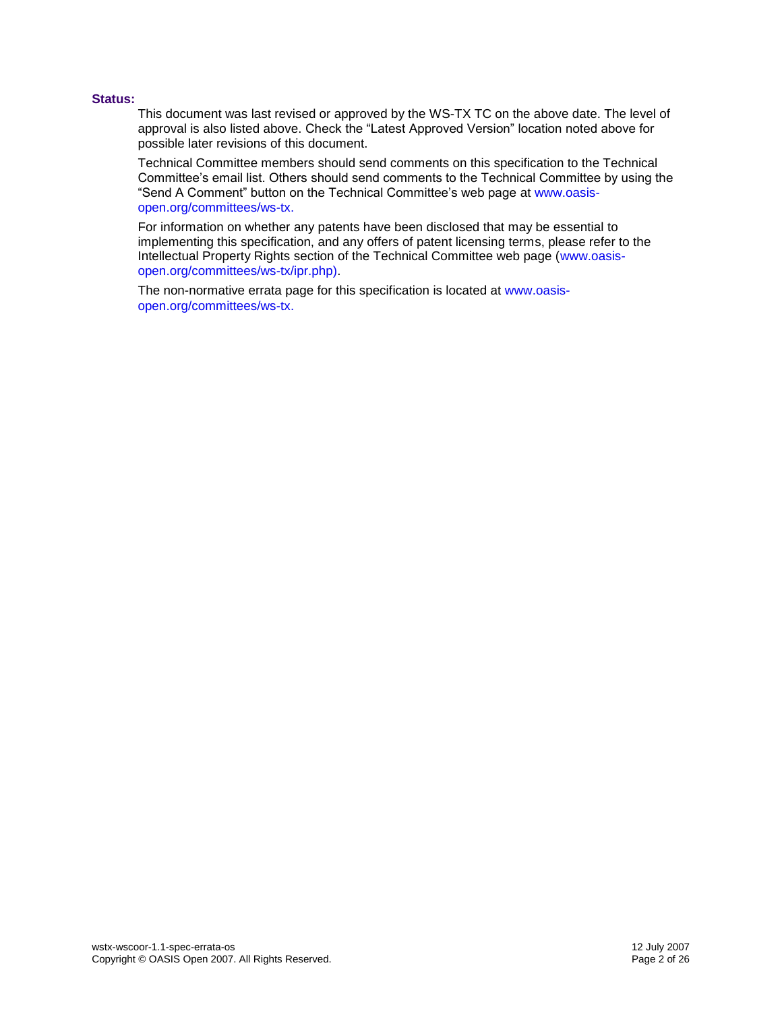#### **Status:**

This document was last revised or approved by the WS-TX TC on the above date. The level of approval is also listed above. Check the "Latest Approved Version" location noted above for possible later revisions of this document.

Technical Committee members should send comments on this specification to the Technical Committee's email list. Others should send comments to the Technical Committee by using the "Send A Comment" button on the Technical Committee's web page at [www.oasis](http://www.oasis-open.org/committees/ws-tx)[open.org/committees/ws-tx.](http://www.oasis-open.org/committees/ws-tx)

For information on whether any patents have been disclosed that may be essential to implementing this specification, and any offers of patent licensing terms, please refer to the Intellectual Property Rights section of the Technical Committee web page [\(www.oasis](http://www.oasis-open.org/committees/ws-tx/ipr.php)[open.org/committees/ws-tx/ipr.php\)](http://www.oasis-open.org/committees/ws-tx/ipr.php).

The non-normative errata page for this specification is located at [www.oasis](http://www.oasis-open.org/committees/ws-tx)[open.org/committees/ws-tx.](http://www.oasis-open.org/committees/ws-tx)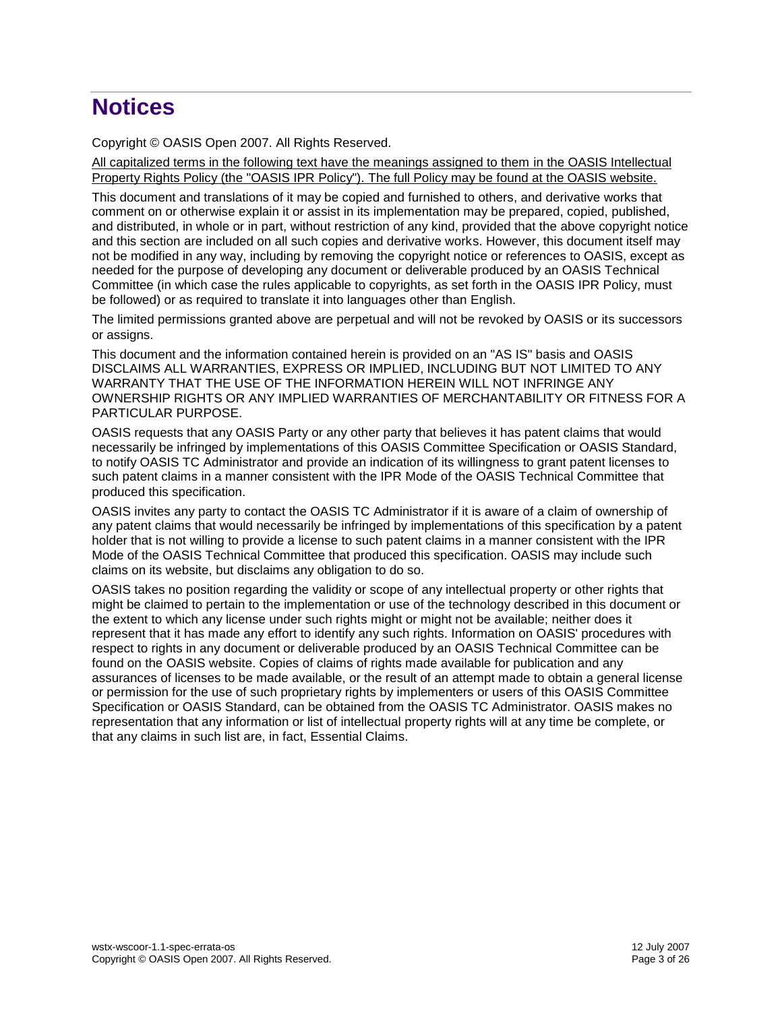# **Notices**

Copyright © OASIS Open 2007. All Rights Reserved.

All capitalized terms in the following text have the meanings assigned to them in the OASIS Intellectual Property Rights Policy (the "OASIS IPR Policy"). The full Policy may be found at the OASIS website.

This document and translations of it may be copied and furnished to others, and derivative works that comment on or otherwise explain it or assist in its implementation may be prepared, copied, published, and distributed, in whole or in part, without restriction of any kind, provided that the above copyright notice and this section are included on all such copies and derivative works. However, this document itself may not be modified in any way, including by removing the copyright notice or references to OASIS, except as needed for the purpose of developing any document or deliverable produced by an OASIS Technical Committee (in which case the rules applicable to copyrights, as set forth in the OASIS IPR Policy, must be followed) or as required to translate it into languages other than English.

The limited permissions granted above are perpetual and will not be revoked by OASIS or its successors or assigns.

This document and the information contained herein is provided on an "AS IS" basis and OASIS DISCLAIMS ALL WARRANTIES, EXPRESS OR IMPLIED, INCLUDING BUT NOT LIMITED TO ANY WARRANTY THAT THE USE OF THE INFORMATION HEREIN WILL NOT INFRINGE ANY OWNERSHIP RIGHTS OR ANY IMPLIED WARRANTIES OF MERCHANTABILITY OR FITNESS FOR A PARTICULAR PURPOSE.

OASIS requests that any OASIS Party or any other party that believes it has patent claims that would necessarily be infringed by implementations of this OASIS Committee Specification or OASIS Standard, to notify OASIS TC Administrator and provide an indication of its willingness to grant patent licenses to such patent claims in a manner consistent with the IPR Mode of the OASIS Technical Committee that produced this specification.

OASIS invites any party to contact the OASIS TC Administrator if it is aware of a claim of ownership of any patent claims that would necessarily be infringed by implementations of this specification by a patent holder that is not willing to provide a license to such patent claims in a manner consistent with the IPR Mode of the OASIS Technical Committee that produced this specification. OASIS may include such claims on its website, but disclaims any obligation to do so.

OASIS takes no position regarding the validity or scope of any intellectual property or other rights that might be claimed to pertain to the implementation or use of the technology described in this document or the extent to which any license under such rights might or might not be available; neither does it represent that it has made any effort to identify any such rights. Information on OASIS' procedures with respect to rights in any document or deliverable produced by an OASIS Technical Committee can be found on the OASIS website. Copies of claims of rights made available for publication and any assurances of licenses to be made available, or the result of an attempt made to obtain a general license or permission for the use of such proprietary rights by implementers or users of this OASIS Committee Specification or OASIS Standard, can be obtained from the OASIS TC Administrator. OASIS makes no representation that any information or list of intellectual property rights will at any time be complete, or that any claims in such list are, in fact, Essential Claims.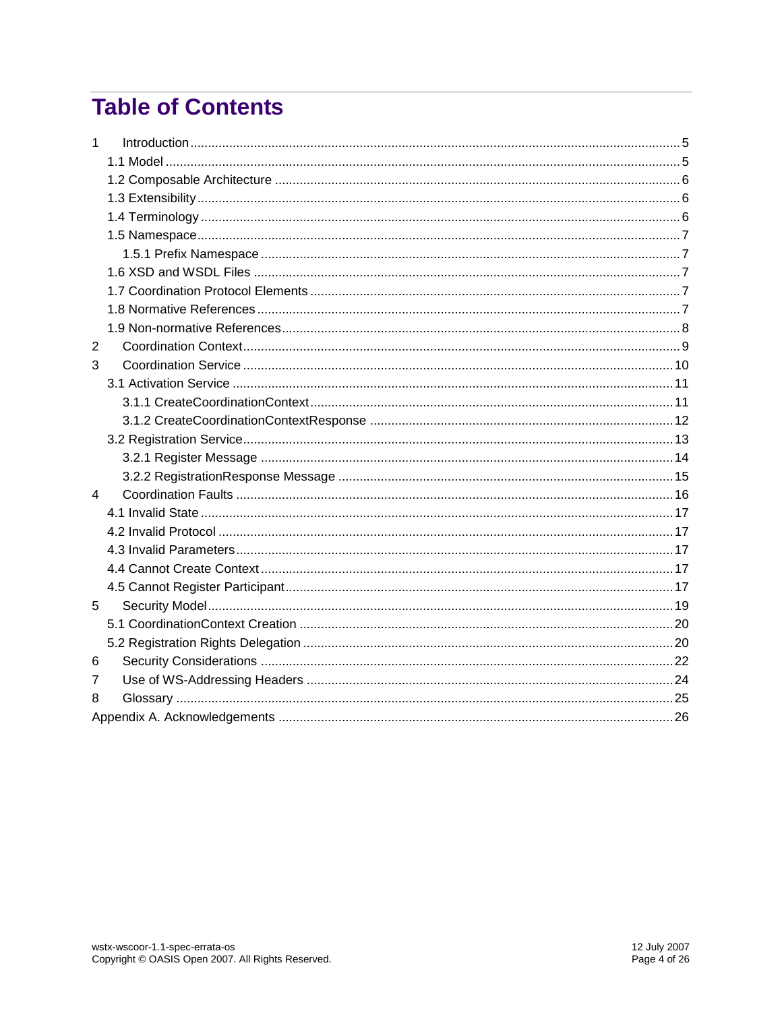# **Table of Contents**

| $\mathbf{1}$   |  |
|----------------|--|
|                |  |
|                |  |
|                |  |
|                |  |
|                |  |
|                |  |
|                |  |
|                |  |
|                |  |
|                |  |
| $\overline{2}$ |  |
| 3              |  |
|                |  |
|                |  |
|                |  |
|                |  |
|                |  |
|                |  |
| 4              |  |
|                |  |
|                |  |
|                |  |
|                |  |
|                |  |
| 5              |  |
|                |  |
|                |  |
| 6              |  |
| 7              |  |
| 8              |  |
|                |  |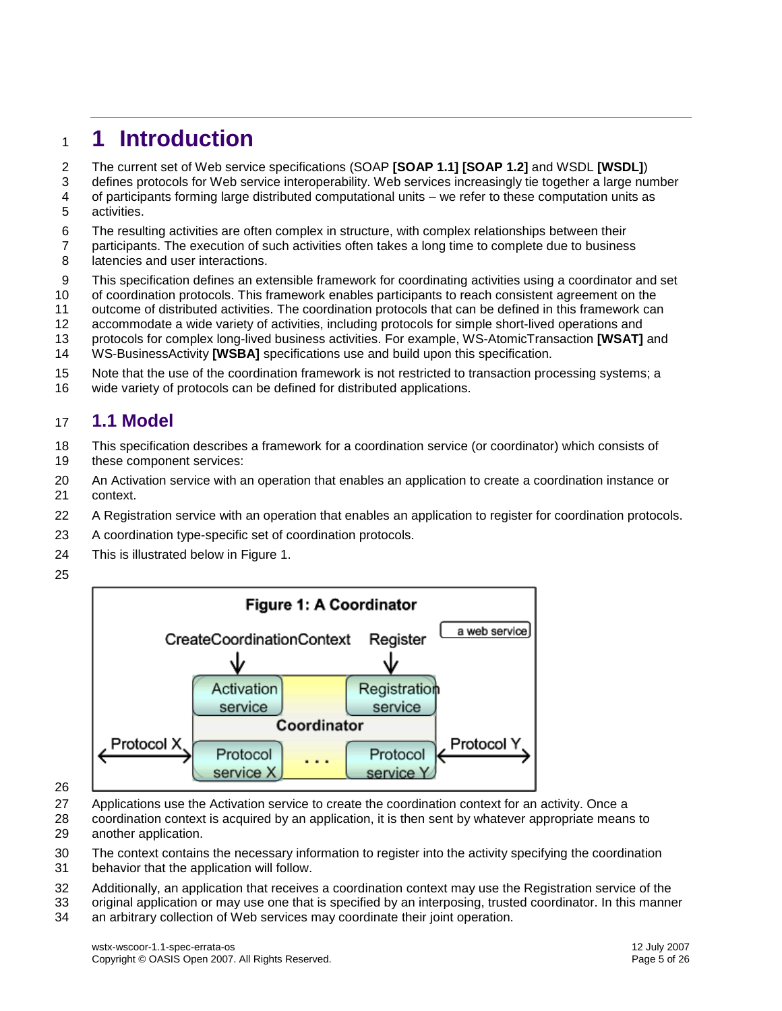# <span id="page-4-0"></span>**1 Introduction**

- The current set of Web service specifications (SOAP **[\[SOAP](#page-6-5) 1.1] [\[SOAP](#page-6-6) 1.2]** and WSD[L](#page-7-1) **[\[WSDL\]](#page-7-1)**)
- defines protocols for Web service interoperability. Web services increasingly tie together a large number
- of participants forming large distributed computational units we refer to these computation units as activities.
- The resulting activities are often complex in structure, with complex relationships between their
- participants. The execution of such activities often takes a long time to complete due to business
- 8 latencies and user interactions.
- This specification defines an extensible framework for coordinating activities using a coordinator and set
- of coordination protocols. This framework enables participants to reach consistent agreement on the
- outcome of distributed activities. The coordination protocols that can be defined in this framework can
- accommodate a wide variety of activities, including protocols for simple short-lived operations and
- protocols for complex long-lived business activities. For example, WS-AtomicTransaction**[\[WSAT\]](#page-7-2)** and WS-BusinessActivity **[\[WSBA\]](#page-7-3)** specifications use and build upon this specification.
- 
- Note that the use of the coordination framework is not restricted to transaction processing systems; a
- wide variety of protocols can be defined for distributed applications.

#### <span id="page-4-1"></span>**1.1 Model**

- This specification describes a framework for a coordination service (or coordinator) which consists of these component services:
- An Activation service with an operation that enables an application to create a coordination instance or context.
- A Registration service with an operation that enables an application to register for coordination protocols.
- A coordination type-specific set of coordination protocols.
- This is illustrated below in Figure 1.
- 



- Applications use the Activation service to create the coordination context for an activity. Once a
- coordination context is acquired by an application, it is then sent by whatever appropriate means to another application.
- The context contains the necessary information to register into the activity specifying the coordination
- behavior that the application will follow.
- Additionally, an application that receives a coordination context may use the Registration service of the
- original application or may use one that is specified by an interposing, trusted coordinator. In this manner an arbitrary collection of Web services may coordinate their joint operation.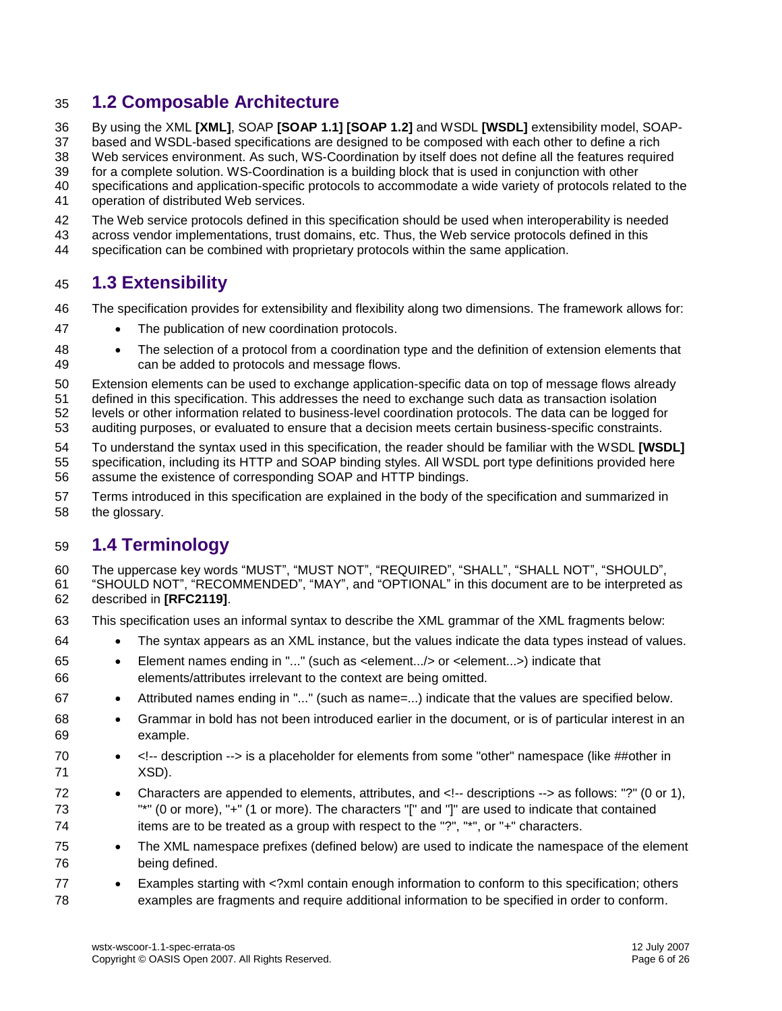### <span id="page-5-0"></span>**1.2 Composable Architecture**

By using the XML **[\[XML\]](#page-6-7)**, SOAP **[\[SOAP 1.1\]](#page-6-5) [\[SOAP](#page-6-6) 1.2]** and WSDL**[\[WSDL\]](#page-7-1)** extensibility model, SOAP-

based and WSDL-based specifications are designed to be composed with each other to define a rich

Web services environment. As such, WS-Coordination by itself does not define all the features required

 for a complete solution. WS-Coordination is a building block that is used in conjunction with other specifications and application-specific protocols to accommodate a wide variety of protocols related to the

- 
- operation of distributed Web services.
- The Web service protocols defined in this specification should be used when interoperability is needed
- across vendor implementations, trust domains, etc. Thus, the Web service protocols defined in this
- specification can be combined with proprietary protocols within the same application.

### <span id="page-5-1"></span>**1.3 Extensibility**

- The specification provides for extensibility and flexibility along two dimensions. The framework allows for:
- 47 The publication of new coordination protocols.
- The selection of a protocol from a coordination type and the definition of extension elements that can be added to protocols and message flows.
- Extension elements can be used to exchange application-specific data on top of message flows already
- defined in this specification. This addresses the need to exchange such data as transaction isolation
- levels or other information related to business-level coordination protocols. The data can be logged for
- auditing purposes, or evaluated to ensure that a decision meets certain business-specific constraints.
- To understand the syntax used in this specification, the reader should be familiar with the WSDL **[\[WSDL\]](#page-7-1)** specification, including its HTTP and SOAP binding styles. All WSDL port type definitions provided here assume the existence of corresponding SOAP and HTTP bindings.
- Terms introduced in this specification are explained in the body of the specification and summarized in the glossary.

### <span id="page-5-2"></span>**1.4 Terminology**

- The uppercase key words "MUST", "MUST NOT", "REQUIRED", "SHALL", "SHALL NOT", "SHOULD", "SHOULD NOT", "RECOMMENDED", "MAY", and "OPTIONAL" in this document are to be interpreted as described in **[\[RFC2119\]](#page-6-8)**.
- This specification uses an informal syntax to describe the XML grammar of the XML fragments below:
- The syntax appears as an XML instance, but the values indicate the data types instead of values.
- Element names ending in "..." (such as <element.../> or <element...>) indicate that elements/attributes irrelevant to the context are being omitted.
- Attributed names ending in "..." (such as name=...) indicate that the values are specified below.
- Grammar in bold has not been introduced earlier in the document, or is of particular interest in an example.
- 70 <!-- description --> is a placeholder for elements from some "other" namespace (like ##other in XSD).
- Characters are appended to elements, attributes, and <!-- descriptions --> as follows: "?" (0 or 1), "\*" (0 or more), "+" (1 or more). The characters "[" and "]" are used to indicate that contained 74 items are to be treated as a group with respect to the "?", "\*", or "+" characters.
- The XML namespace prefixes (defined below) are used to indicate the namespace of the element being defined.
- Examples starting with <?xml contain enough information to conform to this specification; others examples are fragments and require additional information to be specified in order to conform.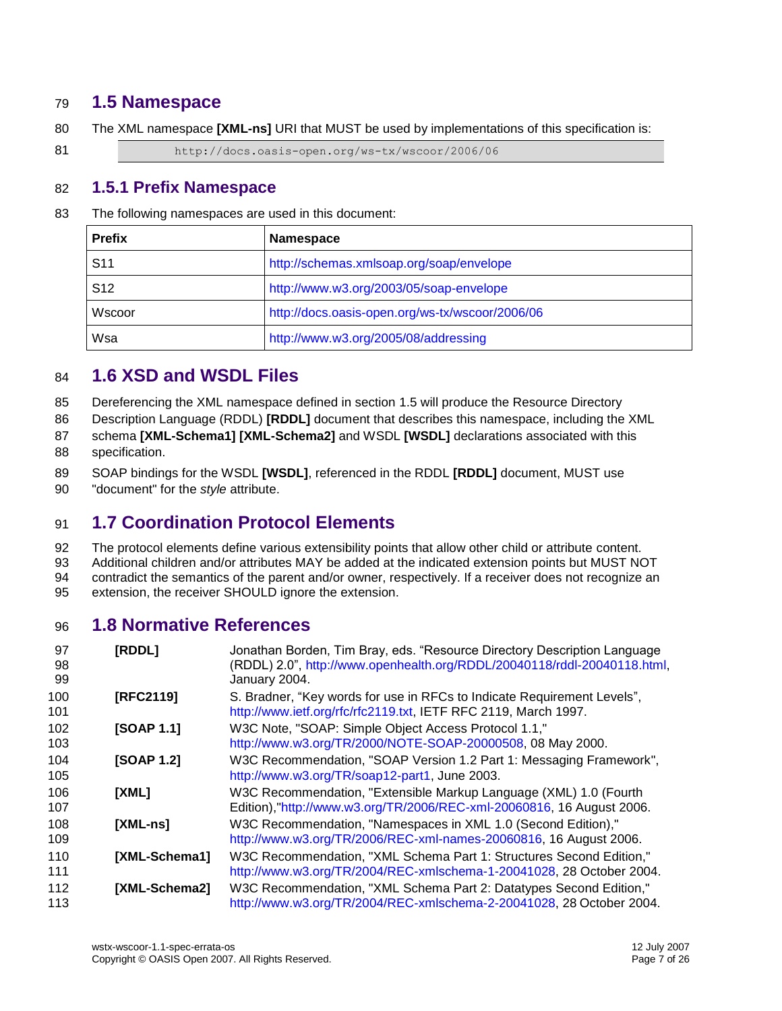#### <span id="page-6-0"></span>**1.5 Namespace**

The XML namespace **[\[XML-ns\]](#page-6-9)** URI that MUST be used by implementations of this specification is:

81 http://docs.oasis-open.org/ws-tx/wscoor/2006/06

#### <span id="page-6-1"></span>**1.5.1 Prefix Namespace**

The following namespaces are used in this document:

| <b>Prefix</b>   | <b>Namespace</b>                                |
|-----------------|-------------------------------------------------|
| S <sub>11</sub> | http://schemas.xmlsoap.org/soap/envelope        |
| S <sub>12</sub> | http://www.w3.org/2003/05/soap-envelope         |
| Wscoor          | http://docs.oasis-open.org/ws-tx/wscoor/2006/06 |
| Wsa             | http://www.w3.org/2005/08/addressing            |

#### <span id="page-6-2"></span>**1.6 XSD and WSDL Files**

Dereferencing the XML namespace defined in section [1.5](#page-6-0) will produce the Resource Directory

Description Language (RDDL) **[\[RDDL\]](#page-6-10)** document that describes this namespace, including the XML

- schema **[\[XML-Schema1\]](#page-6-11) [\[XML-Schema2\]](#page-6-12)** and WSDL **[\[WSDL\]](#page-7-1)** declarations associated with this specification.
- SOAP bindings for the WSDL **[\[WSDL\]](#page-7-1)**, referenced in the RDDL **[\[RDDL\]](#page-6-10)** document, MUST use
- "document" for the *style* attribute.

### <span id="page-6-3"></span>**1.7 Coordination Protocol Elements**

 The protocol elements define various extensibility points that allow other child or attribute content. Additional children and/or attributes MAY be added at the indicated extension points but MUST NOT

 contradict the semantics of the parent and/or owner, respectively. If a receiver does not recognize an extension, the receiver SHOULD ignore the extension.

#### <span id="page-6-4"></span>**1.8 Normative References**

<span id="page-6-12"></span><span id="page-6-11"></span><span id="page-6-10"></span><span id="page-6-9"></span><span id="page-6-8"></span><span id="page-6-7"></span><span id="page-6-6"></span><span id="page-6-5"></span>

| 97<br>98<br>99 | [RDDL]        | Jonathan Borden, Tim Bray, eds. "Resource Directory Description Language<br>(RDDL) 2.0", http://www.openhealth.org/RDDL/20040118/rddl-20040118.html,<br>January 2004. |
|----------------|---------------|-----------------------------------------------------------------------------------------------------------------------------------------------------------------------|
| 100<br>101     | [RFC2119]     | S. Bradner, "Key words for use in RFCs to Indicate Requirement Levels",<br>http://www.ietf.org/rfc/rfc2119.txt, IETF RFC 2119, March 1997.                            |
| 102<br>103     | [SOAP 1.1]    | W3C Note, "SOAP: Simple Object Access Protocol 1.1,"<br>http://www.w3.org/TR/2000/NOTE-SOAP-20000508, 08 May 2000.                                                    |
| 104<br>105     | [SOAP 1.2]    | W3C Recommendation, "SOAP Version 1.2 Part 1: Messaging Framework",<br>http://www.w3.org/TR/soap12-part1, June 2003.                                                  |
| 106<br>107     | [XML]         | W3C Recommendation, "Extensible Markup Language (XML) 1.0 (Fourth<br>Edition),"http://www.w3.org/TR/2006/REC-xml-20060816, 16 August 2006.                            |
| 108<br>109     | [XML-ns]      | W3C Recommendation, "Namespaces in XML 1.0 (Second Edition),"<br>http://www.w3.org/TR/2006/REC-xml-names-20060816, 16 August 2006.                                    |
| 110<br>111     | [XML-Schema1] | W3C Recommendation, "XML Schema Part 1: Structures Second Edition,"<br>http://www.w3.org/TR/2004/REC-xmlschema-1-20041028, 28 October 2004.                           |
| 112<br>113     | [XML-Schema2] | W3C Recommendation, "XML Schema Part 2: Datatypes Second Edition,"<br>http://www.w3.org/TR/2004/REC-xmlschema-2-20041028, 28 October 2004.                            |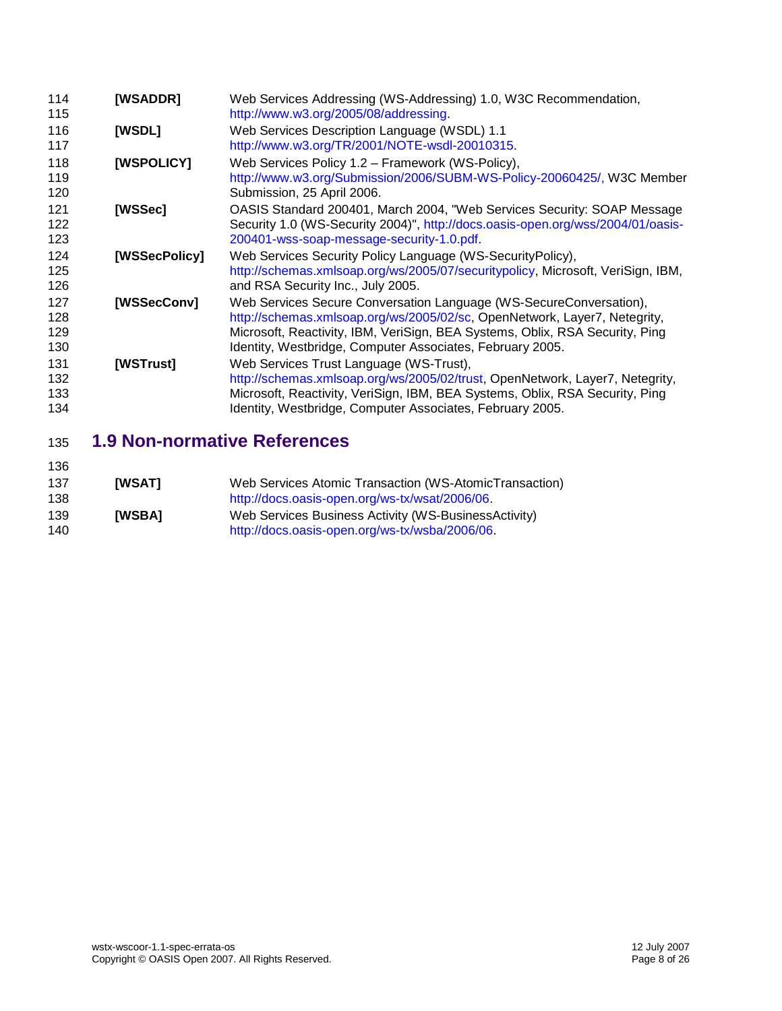<span id="page-7-9"></span><span id="page-7-7"></span><span id="page-7-5"></span><span id="page-7-4"></span><span id="page-7-1"></span>

| 114<br>115               | [WSADDR]      | Web Services Addressing (WS-Addressing) 1.0, W3C Recommendation,<br>http://www.w3.org/2005/08/addressing.                                                                                                                                                                                    |
|--------------------------|---------------|----------------------------------------------------------------------------------------------------------------------------------------------------------------------------------------------------------------------------------------------------------------------------------------------|
| 116<br>117               | <b>[WSDL]</b> | Web Services Description Language (WSDL) 1.1<br>http://www.w3.org/TR/2001/NOTE-wsdl-20010315.                                                                                                                                                                                                |
| 118<br>119<br>120        | [WSPOLICY]    | Web Services Policy 1.2 - Framework (WS-Policy),<br>http://www.w3.org/Submission/2006/SUBM-WS-Policy-20060425/, W3C Member<br>Submission, 25 April 2006.                                                                                                                                     |
| 121<br>122<br>123        | [WSSec]       | OASIS Standard 200401, March 2004, "Web Services Security: SOAP Message<br>Security 1.0 (WS-Security 2004)", http://docs.oasis-open.org/wss/2004/01/oasis-<br>200401-wss-soap-message-security-1.0.pdf                                                                                       |
| 124<br>125<br>126        | [WSSecPolicy] | Web Services Security Policy Language (WS-Security Policy),<br>http://schemas.xmlsoap.org/ws/2005/07/securitypolicy, Microsoft, VeriSign, IBM,<br>and RSA Security Inc., July 2005.                                                                                                          |
| 127<br>128<br>129<br>130 | [WSSecConv]   | Web Services Secure Conversation Language (WS-SecureConversation),<br>http://schemas.xmlsoap.org/ws/2005/02/sc, OpenNetwork, Layer7, Netegrity,<br>Microsoft, Reactivity, IBM, VeriSign, BEA Systems, Oblix, RSA Security, Ping<br>Identity, Westbridge, Computer Associates, February 2005. |
| 131<br>132<br>133<br>134 | [WSTrust]     | Web Services Trust Language (WS-Trust),<br>http://schemas.xmlsoap.org/ws/2005/02/trust, OpenNetwork, Layer7, Netegrity,<br>Microsoft, Reactivity, VeriSign, IBM, BEA Systems, Oblix, RSA Security, Ping<br>Identity, Westbridge, Computer Associates, February 2005.                         |

## <span id="page-7-8"></span><span id="page-7-6"></span><span id="page-7-0"></span>**1.9 Non-normative References**

<span id="page-7-3"></span><span id="page-7-2"></span>

| 136 |               |                                                        |
|-----|---------------|--------------------------------------------------------|
| 137 | <b>IWSATI</b> | Web Services Atomic Transaction (WS-AtomicTransaction) |
| 138 |               | http://docs.oasis-open.org/ws-tx/wsat/2006/06.         |
| 139 | <b>IWSBAI</b> | Web Services Business Activity (WS-BusinessActivity)   |
| 140 |               | http://docs.oasis-open.org/ws-tx/wsba/2006/06.         |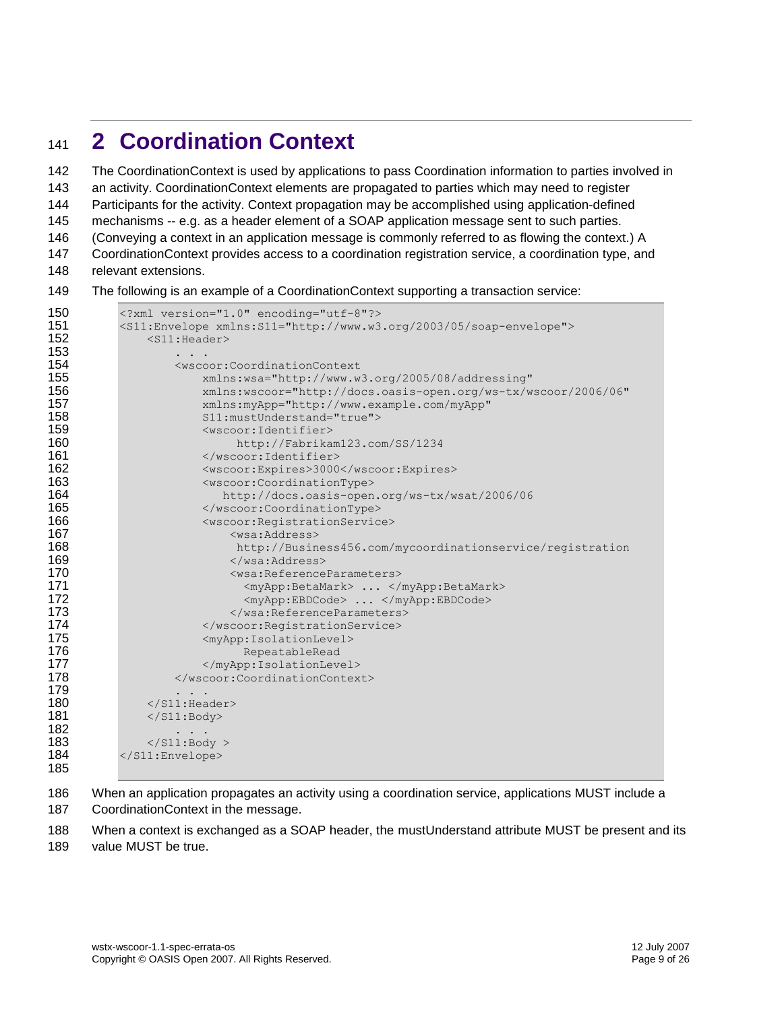# <span id="page-8-0"></span><sup>141</sup> **2 Coordination Context**

142 The CoordinationContext is used by applications to pass Coordination information to parties involved in

143 an activity. CoordinationContext elements are propagated to parties which may need to register

144 Participants for the activity. Context propagation may be accomplished using application-defined

145 mechanisms -- e.g. as a header element of a SOAP application message sent to such parties.

146 (Conveying a context in an application message is commonly referred to as flowing the context.) A

147 CoordinationContext provides access to a coordination registration service, a coordination type, and

148 relevant extensions.

149 The following is an example of a CoordinationContext supporting a transaction service:

```
150 <?xml version="1.0" encoding="utf-8"?>
151 <S11:Envelope xmlns:S11="http://www.w3.org/2003/05/soap-envelope">
152 <s11: Header>
153 . . .
154 <wscoor:CoordinationContext<br>155 xmlns:wsa="http://www.w
                     xmlns:wsa="http://www.w3.org/2005/08/addressing"
156 xmlns:wscoor="http://docs.oasis-open.org/ws-tx/wscoor/2006/06"
157 xmlns:myApp="http://www.example.com/myApp"<br>158 511:mustUnderstand="true">
158 S11:mustUnderstand="true"><br>159 Swscoor:Identifier>
159 <wscoor:Identifier><br>160 http://Fabrika
160 http://Fabrikam123.com/SS/1234<br>161 </wscoor:Identifier>
161 </wscoor:Identifier><br>162 <wscoor:Expires>3000
                      162 <wscoor:Expires>3000</wscoor:Expires>
163 <wscoor:CoordinationType>
164 http://docs.oasis-open.org/ws-tx/wsat/2006/06
165 </wscoor:CoordinationType>
166 <wscoor:RegistrationService><br>167 <wsa:Address>
167 <wsa:Address><br>168 http://Busin
168 http://Business456.com/mycoordinationservice/registration
                          169 </wsa:Address>
170 and Structure Control Construction Construction Construction Construction Construction Construction Constr
171 <myApp:BetaMark> ... </myApp:BetaMark>172 <myApp:BetaMark> ... </myApp:BBDCode>
                            <myApp:EBDCode> ... </myApp:EBDCode>
173 </wsa:ReferenceParameters><br>174 </wscoor:RegistrationService>
174 </wscoor:RegistrationService><br>175 <myApp:IsolationLevel>
175 <myApp:IsolationLevel><br>176 RepeatableRead
176 RepeatableRead
                      </myApp:IsolationLevel>
178 </wscoor:CoordinationContext>
179 . . .
180 </s11: Header>
181 </s11:Body>
182 . . .
183 \langle/S11:Body > \langle/S11:Envelope>
          </S11:Envelope>
185
```
186 When an application propagates an activity using a coordination service, applications MUST include a 187 CoordinationContext in the message.

188 When a context is exchanged as a SOAP header, the mustUnderstand attribute MUST be present and its 189 value MUST be true.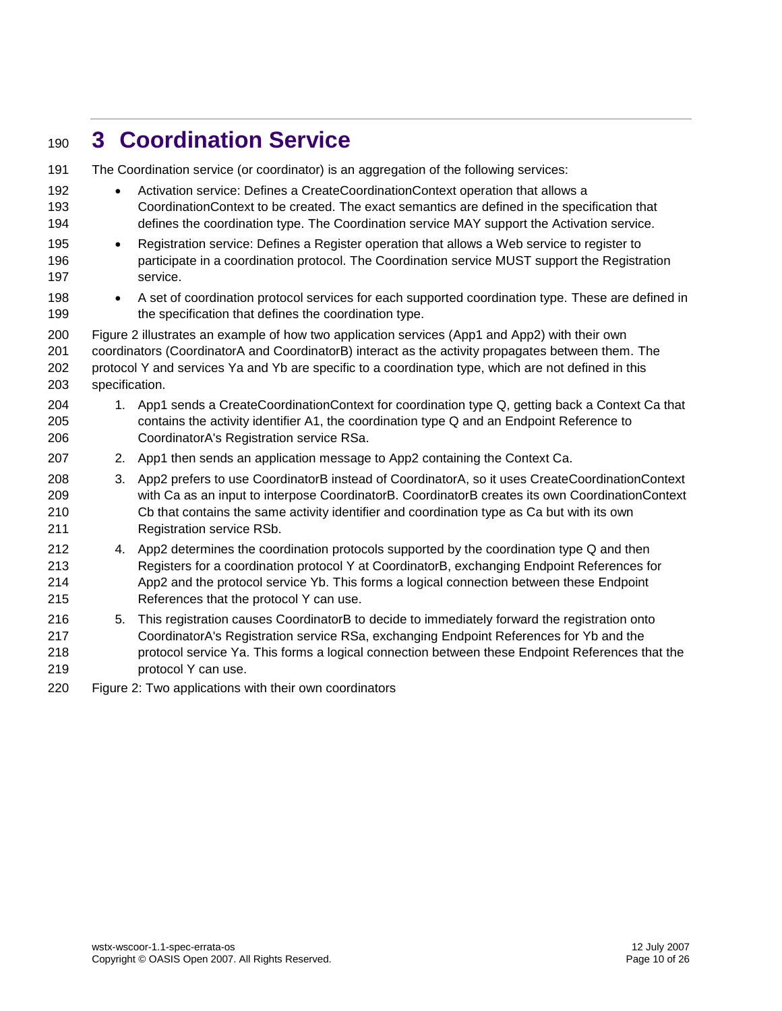# <span id="page-9-0"></span>**3 Coordination Service**

| 191 |                | The Coordination service (or coordinator) is an aggregation of the following services:               |
|-----|----------------|------------------------------------------------------------------------------------------------------|
| 192 | $\bullet$      | Activation service: Defines a CreateCoordinationContext operation that allows a                      |
| 193 |                | CoordinationContext to be created. The exact semantics are defined in the specification that         |
| 194 |                | defines the coordination type. The Coordination service MAY support the Activation service.          |
| 195 | $\bullet$      | Registration service: Defines a Register operation that allows a Web service to register to          |
| 196 |                | participate in a coordination protocol. The Coordination service MUST support the Registration       |
| 197 |                | service.                                                                                             |
| 198 | $\bullet$      | A set of coordination protocol services for each supported coordination type. These are defined in   |
| 199 |                | the specification that defines the coordination type.                                                |
| 200 |                | Figure 2 illustrates an example of how two application services (App1 and App2) with their own       |
| 201 |                | coordinators (CoordinatorA and CoordinatorB) interact as the activity propagates between them. The   |
| 202 |                | protocol Y and services Ya and Yb are specific to a coordination type, which are not defined in this |
| 203 | specification. |                                                                                                      |
| 204 |                | 1. App1 sends a CreateCoordinationContext for coordination type Q, getting back a Context Ca that    |
| 205 |                | contains the activity identifier A1, the coordination type Q and an Endpoint Reference to            |
| 206 |                | CoordinatorA's Registration service RSa.                                                             |
| 207 |                | 2. App1 then sends an application message to App2 containing the Context Ca.                         |
| 208 | 3.             | App2 prefers to use CoordinatorB instead of CoordinatorA, so it uses CreateCoordinationContext       |
| 209 |                | with Ca as an input to interpose CoordinatorB. CoordinatorB creates its own CoordinationContext      |
| 210 |                | Cb that contains the same activity identifier and coordination type as Ca but with its own           |
| 211 |                | Registration service RSb.                                                                            |
| 212 |                | 4. App2 determines the coordination protocols supported by the coordination type Q and then          |
| 213 |                | Registers for a coordination protocol Y at CoordinatorB, exchanging Endpoint References for          |
| 214 |                | App2 and the protocol service Yb. This forms a logical connection between these Endpoint             |
| 215 |                | References that the protocol Y can use.                                                              |
| 216 | 5.             | This registration causes CoordinatorB to decide to immediately forward the registration onto         |
| 217 |                | CoordinatorA's Registration service RSa, exchanging Endpoint References for Yb and the               |
| 218 |                | protocol service Ya. This forms a logical connection between these Endpoint References that the      |
| 219 |                | protocol Y can use.                                                                                  |
| 220 |                | Figure 2: Two applications with their own coordinators                                               |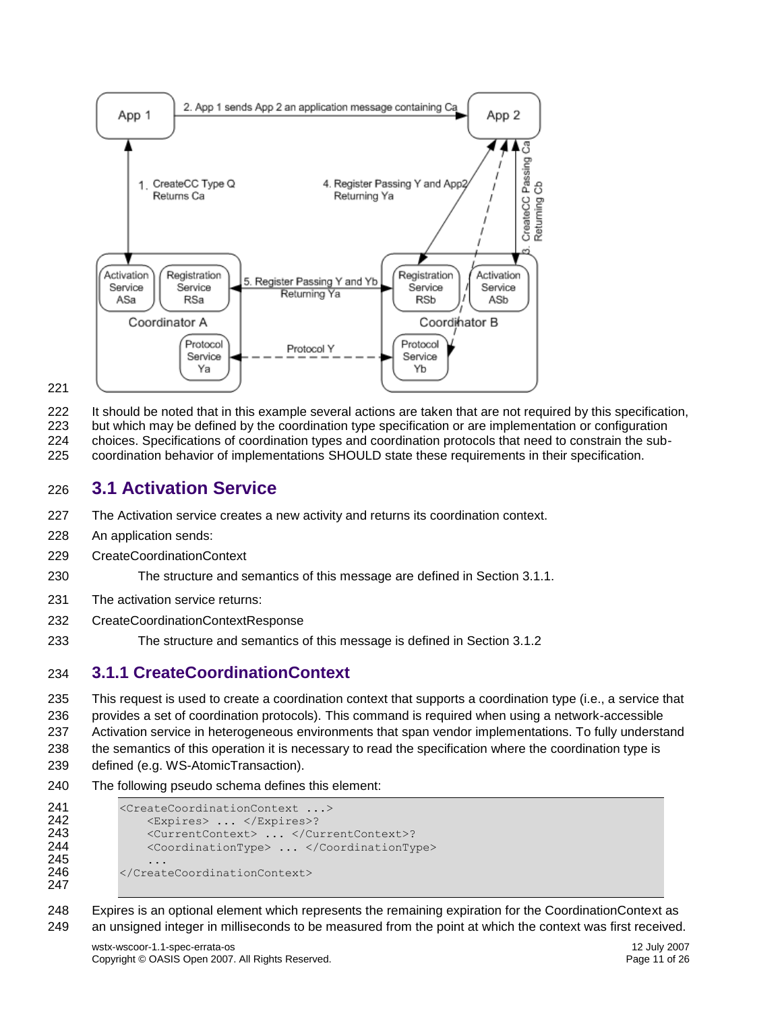

It should be noted that in this example several actions are taken that are not required by this specification,

but which may be defined by the coordination type specification or are implementation or configuration

choices. Specifications of coordination types and coordination protocols that need to constrain the sub-

coordination behavior of implementations SHOULD state these requirements in their specification.

#### <span id="page-10-0"></span>**3.1 Activation Service**

- The Activation service creates a new activity and returns its coordination context.
- An application sends:
- CreateCoordinationContext

The structure and semantics of this message are defined in Section 3.1.1.

- The activation service returns:
- CreateCoordinationContextResponse
- The structure and semantics of this message is defined in Section 3.1.2

#### <span id="page-10-1"></span>**3.1.1 CreateCoordinationContext**

 This request is used to create a coordination context that supports a coordination type (i.e., a service that provides a set of coordination protocols). This command is required when using a network-accessible Activation service in heterogeneous environments that span vendor implementations. To fully understand the semantics of this operation it is necessary to read the specification where the coordination type is defined (e.g. WS-AtomicTransaction).

The following pseudo schema defines this element:

```
241 <CreateCoordinationContext ...><br>242 <Expires> ... </Expires>?
                  <Expires> ... </Expires>?
243 <CurrentContext> ... </CurrentContext>?<br>244 <CoordinationType> ... </CoordinationTy
                  244 <CoordinationType> ... </CoordinationType>
245
246 </CreateCoordinationContext>
247
```
 Expires is an optional element which represents the remaining expiration for the CoordinationContext as an unsigned integer in milliseconds to be measured from the point at which the context was first received.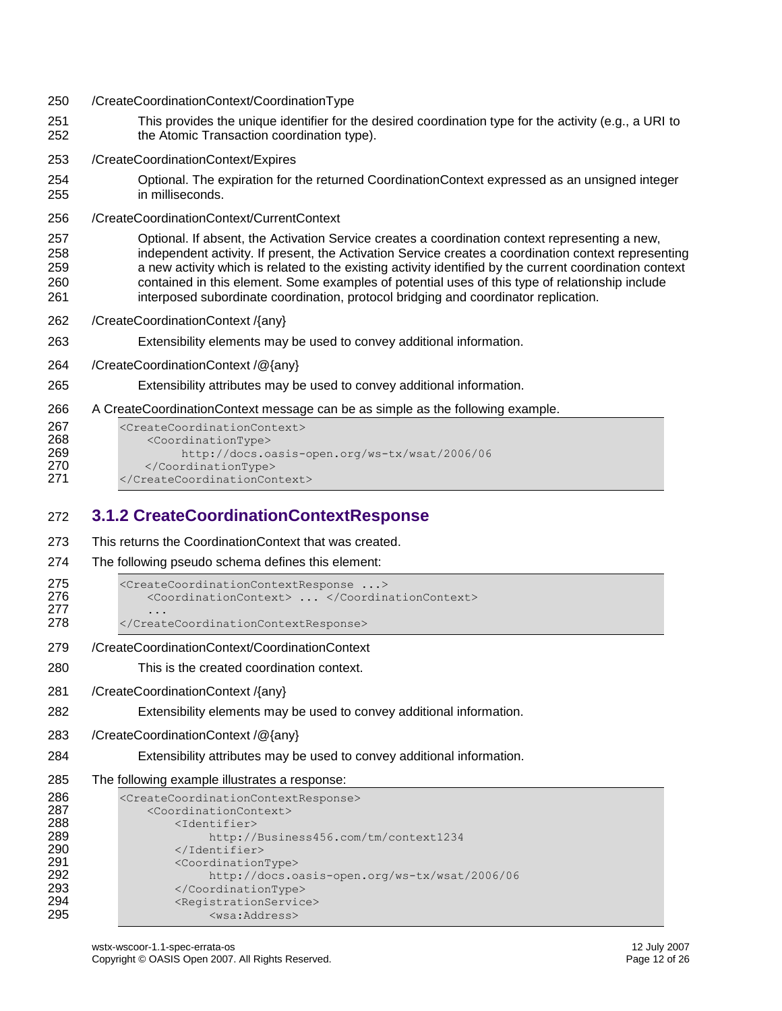- /CreateCoordinationContext/CoordinationType
- This provides the unique identifier for the desired coordination type for the activity (e.g., a URI to the Atomic Transaction coordination type).
- /CreateCoordinationContext/Expires
- Optional. The expiration for the returned CoordinationContext expressed as an unsigned integer in milliseconds.
- /CreateCoordinationContext/CurrentContext

 Optional. If absent, the Activation Service creates a coordination context representing a new, independent activity. If present, the Activation Service creates a coordination context representing a new activity which is related to the existing activity identified by the current coordination context contained in this element. Some examples of potential uses of this type of relationship include interposed subordinate coordination, protocol bridging and coordinator replication.

- /CreateCoordinationContext /{any}
- Extensibility elements may be used to convey additional information.
- /CreateCoordinationContext /@{any}

Extensibility attributes may be used to convey additional information.

A CreateCoordinationContext message can be as simple as the following example.

| 267 | <createcoordinationcontext></createcoordinationcontext> |
|-----|---------------------------------------------------------|
| 268 | <coordinationtype></coordinationtype>                   |
| 269 | http://docs.oasis-open.org/ws-tx/wsat/2006/06           |
| 270 |                                                         |
| 271 |                                                         |

### <span id="page-11-0"></span>**3.1.2 CreateCoordinationContextResponse**

- This returns the CoordinationContext that was created.
- The following pseudo schema defines this element:

```
275 <CreateCoordinationContextResponse ...>
276 <CoordinationContext> ... </CoordinationContext>
277 ...
278 </CreateCoordinationContextResponse>
```
- /CreateCoordinationContext/CoordinationContext
- This is the created coordination context.
- /CreateCoordinationContext /{any}
- Extensibility elements may be used to convey additional information.
- /CreateCoordinationContext /@{any}
- Extensibility attributes may be used to convey additional information.
- The following example illustrates a response:

```
286 <CreateCoordinationContextResponse>
287 <CoordinationContext><br>288 <coordinationContext>
                 <Identifier>
289 http://Business456.com/tm/context1234<br>290 </Identifier>
                 </Identifier>
291 <coordinationType>
292 http://docs.oasis-open.org/ws-tx/wsat/2006/06
293 </CoordinationType>
294 <RegistrationService><br>295 <wsa:Address>
                     <wsa:Address>
```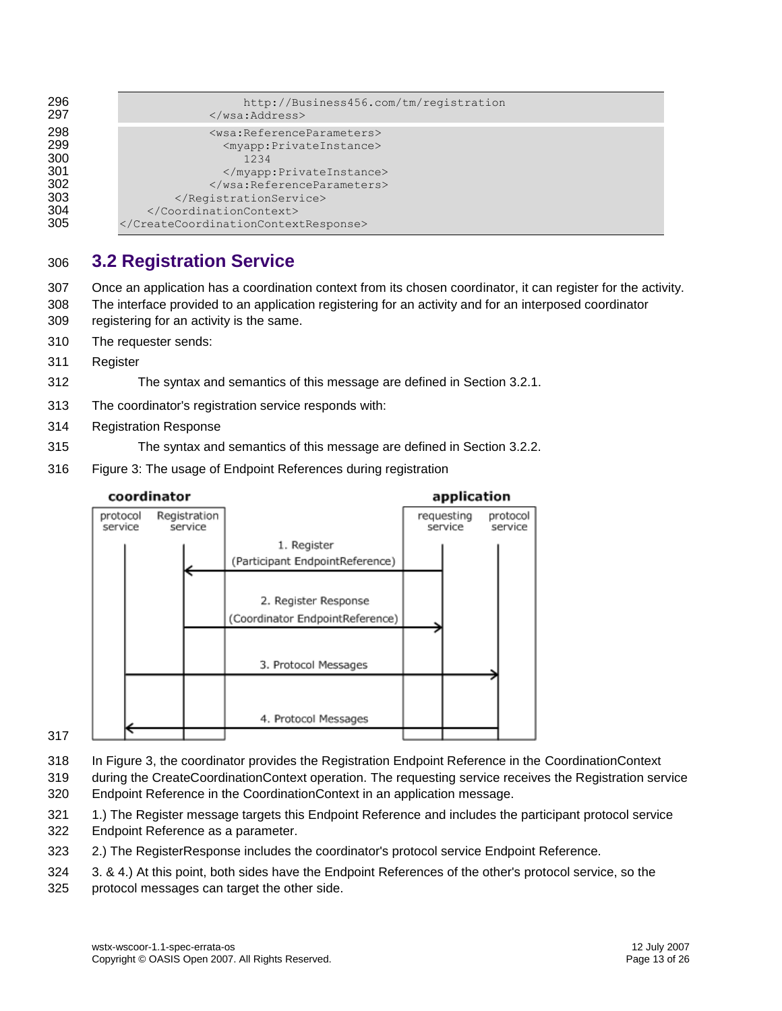| 296 | http://Business456.com/tm/reqistration              |
|-----|-----------------------------------------------------|
| 297 | $\langle$ /wsa:Address>                             |
| 298 | <wsa:referenceparameters></wsa:referenceparameters> |
| 299 | <myapp:privateinstance></myapp:privateinstance>     |
| 300 | 1234                                                |
| 301 |                                                     |
| 302 |                                                     |
| 303 |                                                     |
| 304 |                                                     |
| 305 |                                                     |

### <span id="page-12-0"></span>**3.2 Registration Service**

 Once an application has a coordination context from its chosen coordinator, it can register for the activity. The interface provided to an application registering for an activity and for an interposed coordinator registering for an activity is the same.

- The requester sends:
- Register
- The syntax and semantics of this message are defined in Section 3.2.1.
- The coordinator's registration service responds with:
- Registration Response
- The syntax and semantics of this message are defined in Section 3.2.2.
- Figure 3: The usage of Endpoint References during registration



#### 

In Figure 3, the coordinator provides the Registration Endpoint Reference in the CoordinationContext

 during the CreateCoordinationContext operation. The requesting service receives the Registration service Endpoint Reference in the CoordinationContext in an application message.

321 1.) The Register message targets this Endpoint Reference and includes the participant protocol service

- Endpoint Reference as a parameter.
- 2.) The RegisterResponse includes the coordinator's protocol service Endpoint Reference.
- 3. & 4.) At this point, both sides have the Endpoint References of the other's protocol service, so the
- protocol messages can target the other side.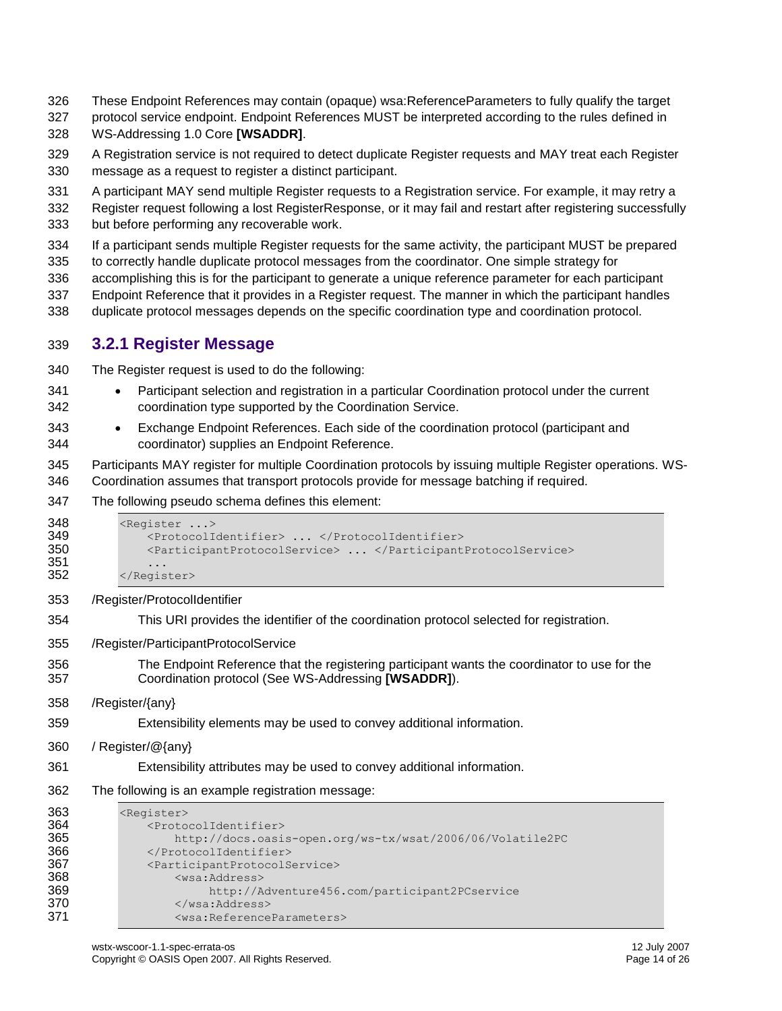- These Endpoint References may contain (opaque) wsa:ReferenceParameters to fully qualify the target
- protocol service endpoint. Endpoint References MUST be interpreted according to the rules defined in

WS-Addressing 1.0 Core **[\[WSADDR\]](#page-7-4)**.

- A Registration service is not required to detect duplicate Register requests and MAY treat each Register message as a request to register a distinct participant.
- A participant MAY send multiple Register requests to a Registration service. For example, it may retry a
- Register request following a lost RegisterResponse, or it may fail and restart after registering successfully but before performing any recoverable work.
- If a participant sends multiple Register requests for the same activity, the participant MUST be prepared
- to correctly handle duplicate protocol messages from the coordinator. One simple strategy for
- accomplishing this is for the participant to generate a unique reference parameter for each participant
- Endpoint Reference that it provides in a Register request. The manner in which the participant handles
- duplicate protocol messages depends on the specific coordination type and coordination protocol.

#### <span id="page-13-0"></span>**3.2.1 Register Message**

- The Register request is used to do the following:
- 341 Participant selection and registration in a particular Coordination protocol under the current coordination type supported by the Coordination Service.
- Exchange Endpoint References. Each side of the coordination protocol (participant and coordinator) supplies an Endpoint Reference.
- Participants MAY register for multiple Coordination protocols by issuing multiple Register operations. WS-Coordination assumes that transport protocols provide for message batching if required.
- The following pseudo schema defines this element:

```
348 <Register ...><br>349 <ProtocolI
               349 <ProtocolIdentifier> ... </ProtocolIdentifier>
350 <ParticipantProtocolService> ... </ParticipantProtocolService>
351 ...<br>352 </Regis
           </Register>
353 /Register/ProtocolIdentifier
```
- This URI provides the identifier of the coordination protocol selected for registration.
- /Register/ParticipantProtocolService
- The Endpoint Reference that the registering participant wants the coordinator to use for the Coordination protocol (See WS-Addressing **[\[WSADDR\]](#page-7-4)**).
- /Register/{any}
- Extensibility elements may be used to convey additional information.
- / Register/@{any}
- Extensibility attributes may be used to convey additional information.
- The following is an example registration message:

```
363 <Register>
364 <ProtocolIdentifier>
365 http://docs.oasis-open.org/ws-tx/wsat/2006/06/Volatile2PC
366 </ProtocolIdentifier><br>367 </r>>>>>>>>>>>>>>>>>>
367 <ParticipantProtocolService>
368 <wsa:Address> 
                  http://Adventure456.com/participant2PCservice
370 </wsa:Address>
371 <wsa:ReferenceParameters>
```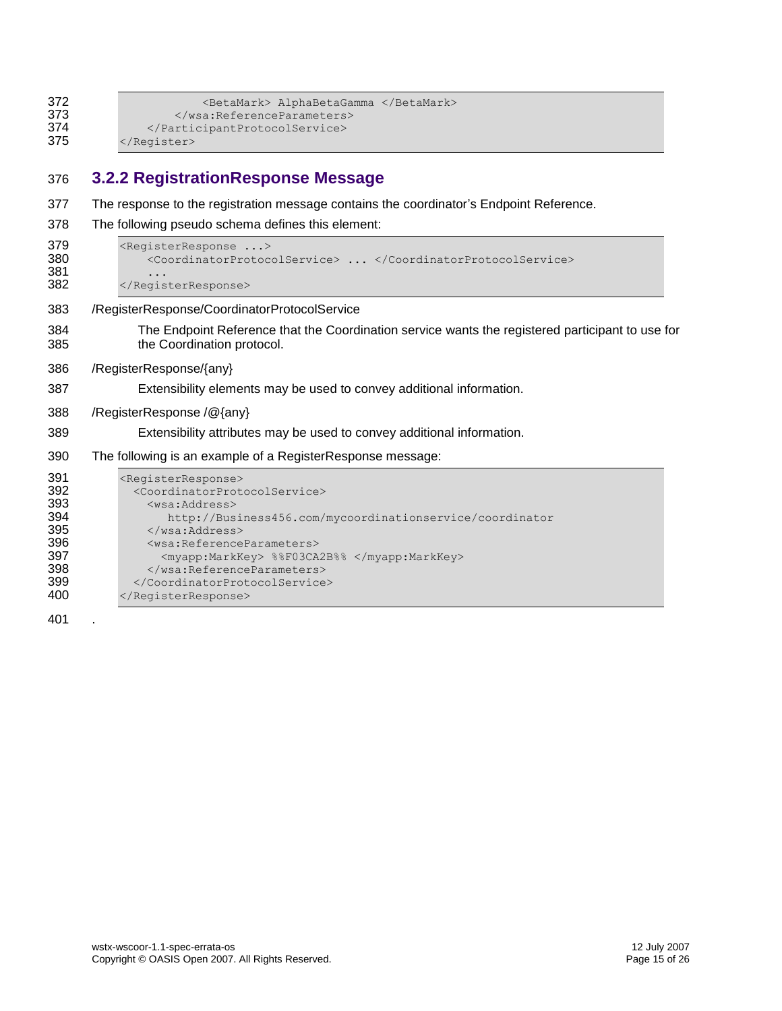| 372 | <betamark> AlphaBetaGamma </betamark> |  |
|-----|---------------------------------------|--|
| 373 |                                       |  |
| 374 |                                       |  |
| 375 | $\langle$ /Register>                  |  |

### <span id="page-14-0"></span>**3.2.2 RegistrationResponse Message**

- The response to the registration message contains the coordinator's Endpoint Reference.
- The following pseudo schema defines this element:

```
379 <RegisterResponse ...><br>380 <coordinatorProtoc
                380 <CoordinatorProtocolService> ... </CoordinatorProtocolService>
381 ...<br>382 </Regis
            </RegisterResponse>
383 /RegisterResponse/CoordinatorProtocolService
384 The Endpoint Reference that the Coordination service wants the registered participant to use for 
385 the Coordination protocol.
386 /RegisterResponse/{any}
387 Extensibility elements may be used to convey additional information.
388 /RegisterResponse /@{any}
389 Extensibility attributes may be used to convey additional information.
390 The following is an example of a RegisterResponse message:
391 <RegisterResponse><br>392 <coordinatorProt
392 <CoordinatorProtocolService><br>393 <wsa:Address>
393 <wsa:Address><br>394 http://Busi
                   http://Business456.com/mycoordinationservice/coordinator
395 </wsa:Address><br>396 <wsa:Referencel
                396 <wsa:ReferenceParameters>
397 <myapp:MarkKey> %%F03CA2B%% </myapp:MarkKey>
398 </wsa:ReferenceParameters><br>399 </CoordinatorProtocolService>
              399 </CoordinatorProtocolService>
```
</RegisterResponse>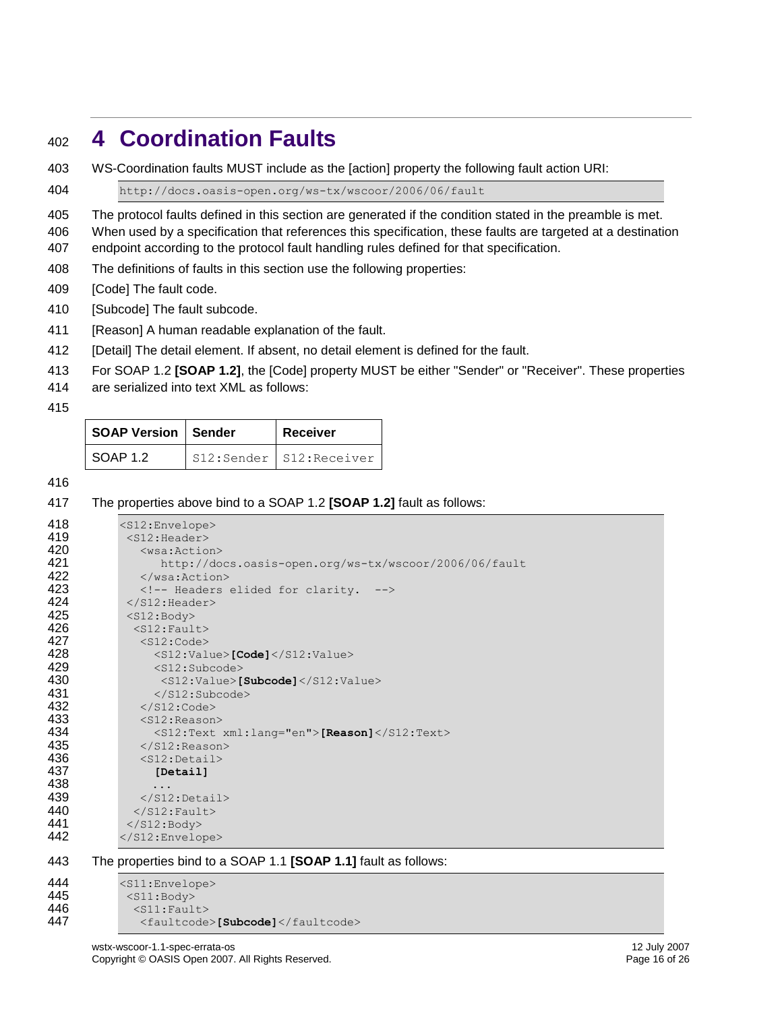# <span id="page-15-0"></span>**4 Coordination Faults**

WS-Coordination faults MUST include as the [action] property the following fault action URI:

http://docs.oasis-open.org/ws-tx/wscoor/2006/06/fault

The protocol faults defined in this section are generated if the condition stated in the preamble is met.

 When used by a specification that references this specification, these faults are targeted at a destination endpoint according to the protocol fault handling rules defined for that specification.

The definitions of faults in this section use the following properties:

[Code] The fault code.

- [Subcode] The fault subcode.
- [Reason] A human readable explanation of the fault.
- [Detail] The detail element. If absent, no detail element is defined for the fault.
- For SOAP 1.2 **[\[SOAP 1.2\]](#page-6-6)**, the [Code] property MUST be either "Sender" or "Receiver". These properties
- are serialized into text XML as follows:
- 

| <b>SOAP Version   Sender</b> | Receiver                  |
|------------------------------|---------------------------|
| SOAP 1.2                     | S12:Sender   S12:Receiver |

#### 

#### The properties above bind to a SOAP 1.2 **[\[SOAP 1.2\]](#page-6-6)** fault as follows:

| 418            | <s12:envelope></s12:envelope>                                  |
|----------------|----------------------------------------------------------------|
| 419            | $<$ S12:Header>                                                |
| 420            | $<$ wsa: Action $>$                                            |
| 421            | http://docs.oasis-open.org/ws-tx/wscoor/2006/06/fault          |
| 422            | $\langle$ /wsa:Action>                                         |
| 423            | Headers elided for clarity.                                    |
| 424            | $\langle$ /S12:Header>                                         |
| 425            | $<$ S12:Body>                                                  |
| 426            | $<$ S12: Fault>                                                |
| 427            | $<$ S12:Code>                                                  |
| 428            | <s12:value>[Code]</s12:value>                                  |
| 429            | $<$ S12:Subcode>                                               |
| 430            | $<$ S12:Value>[Subcode] $<$ /S12:Value>                        |
| 431            | $\langle$ /S12:Subcode>                                        |
| 432            | $\langle$ /S12:Code>                                           |
| 433            | $<$ S12: Reason>                                               |
| 434            | $<$ S12:Text xml:lang="en">[Reason] $<$ /S12:Text>             |
| 435            | $\langle$ /S12:Reason>                                         |
| 436            | $<$ S12:Detail>                                                |
| 437            | [Detail]                                                       |
| 438            | .                                                              |
| 439            | $\langle$ /S12:Detail>                                         |
| 440            | $\langle$ /S12: Fault>                                         |
| 441            | $\langle$ /S12:Body>                                           |
| 442            |                                                                |
|                |                                                                |
| 443            | The properties bind to a SOAP 1.1 [SOAP 1.1] fault as follows: |
| 444            | <s11:envelope></s11:envelope>                                  |
| $\overline{A}$ |                                                                |

 <S11:Body> 446 <s11:Fault><br>447 <faultcode <faultcode>**[Subcode]**</faultcode>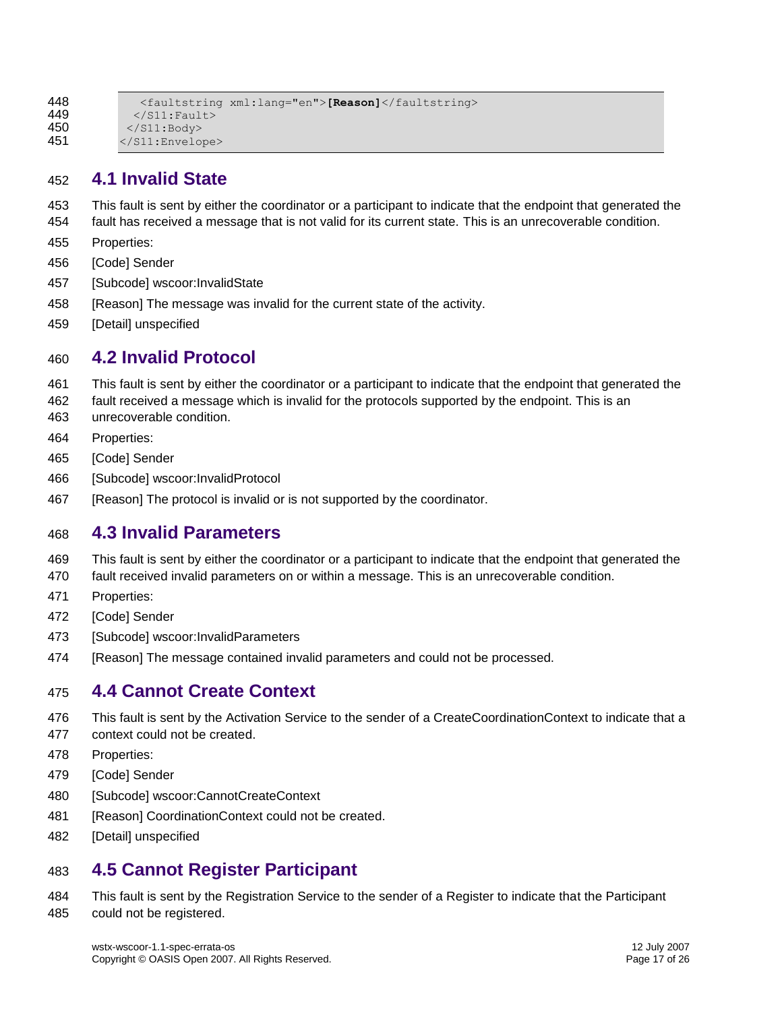```
448 <faultstring xml:lang="en">[Reason]</faultstring><br>449 </S11:Fault>
            \langle/S11:Fault>
450 </S11:Body>
451 </S11:Envelope>
```
### <span id="page-16-0"></span>**4.1 Invalid State**

- This fault is sent by either the coordinator or a participant to indicate that the endpoint that generated the
- fault has received a message that is not valid for its current state. This is an unrecoverable condition.
- Properties:
- [Code] Sender
- [Subcode] wscoor:InvalidState
- 458 [Reason] The message was invalid for the current state of the activity.
- [Detail] unspecified

### <span id="page-16-1"></span>**4.2 Invalid Protocol**

- This fault is sent by either the coordinator or a participant to indicate that the endpoint that generated the
- fault received a message which is invalid for the protocols supported by the endpoint. This is an
- unrecoverable condition.
- Properties:
- [Code] Sender
- [Subcode] wscoor:InvalidProtocol
- 467 [Reason] The protocol is invalid or is not supported by the coordinator.

### <span id="page-16-2"></span>**4.3 Invalid Parameters**

- This fault is sent by either the coordinator or a participant to indicate that the endpoint that generated the
- fault received invalid parameters on or within a message. This is an unrecoverable condition.
- Properties:
- [Code] Sender
- [Subcode] wscoor:InvalidParameters
- [Reason] The message contained invalid parameters and could not be processed.

### <span id="page-16-3"></span>**4.4 Cannot Create Context**

- This fault is sent by the Activation Service to the sender of a CreateCoordinationContext to indicate that a
- context could not be created.
- Properties:
- [Code] Sender
- 480 [Subcode] wscoor:CannotCreateContext
- 481 [Reason] CoordinationContext could not be created.
- [Detail] unspecified

### <span id="page-16-4"></span>**4.5 Cannot Register Participant**

 This fault is sent by the Registration Service to the sender of a Register to indicate that the Participant could not be registered.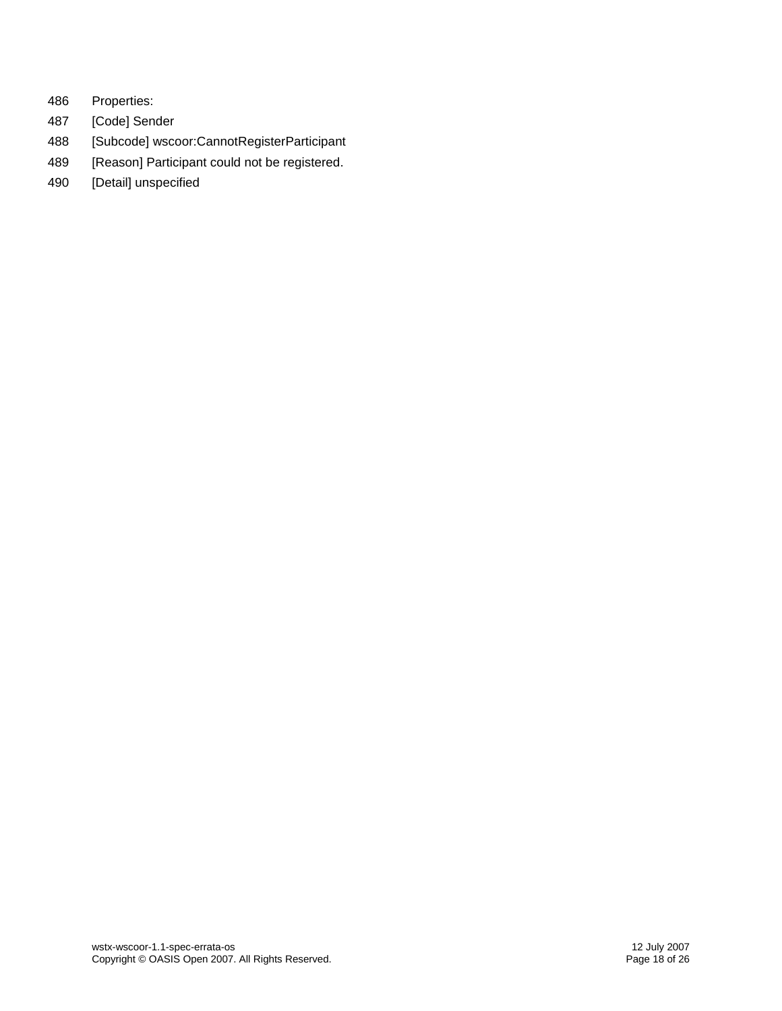- 486 Properties:
- 487 [Code] Sender
- 488 [Subcode] wscoor:CannotRegisterParticipant
- 489 [Reason] Participant could not be registered.
- 490 [Detail] unspecified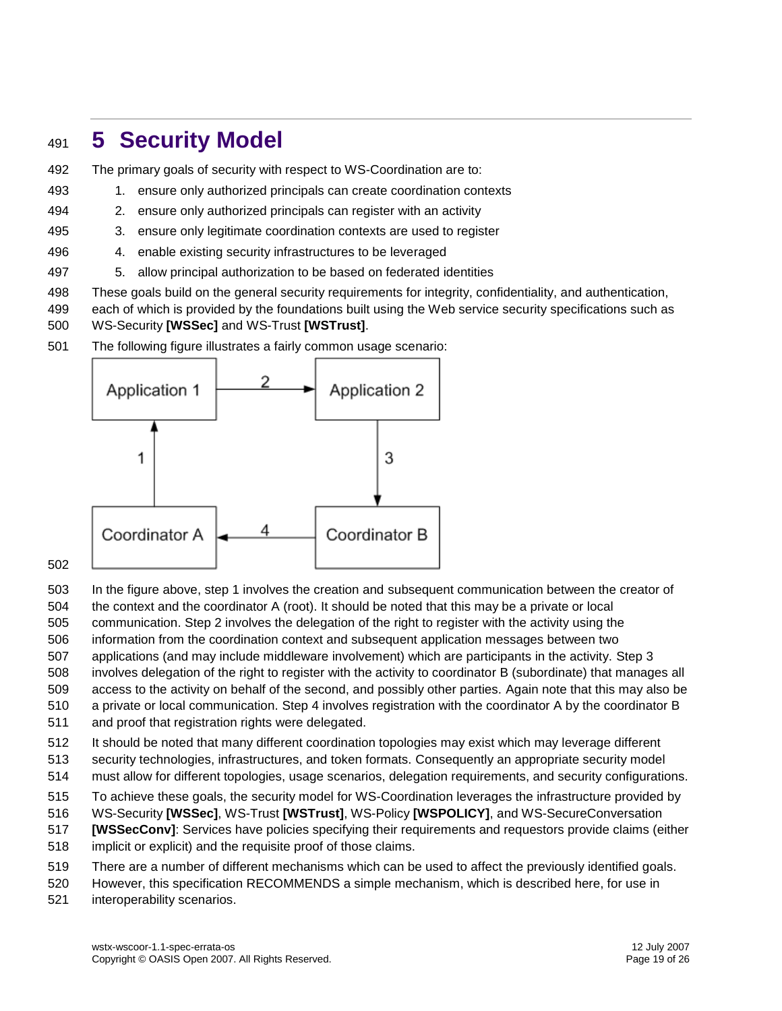# <span id="page-18-0"></span>**5 Security Model**

- The primary goals of security with respect to WS-Coordination are to:
- 1. ensure only authorized principals can create coordination contexts
- 2. ensure only authorized principals can register with an activity
- 3. ensure only legitimate coordination contexts are used to register
- 4. enable existing security infrastructures to be leveraged
- 5. allow principal authorization to be based on federated identities
- These goals build on the general security requirements for integrity, confidentiality, and authentication,
- each of which is provided by the foundations built using the Web service security specifications such as WS-Security **[\[WSSec\]](#page-7-5)** and WS-Trust**[\[WSTrust\]](#page-7-6)**.
- The following figure illustrates a fairly common usage scenario:



#### 

- In the figure above, step 1 involves the creation and subsequent communication between the creator of the context and the coordinator A (root). It should be noted that this may be a private or local
- communication. Step 2 involves the delegation of the right to register with the activity using the
- information from the coordination context and subsequent application messages between two
- applications (and may include middleware involvement) which are participants in the activity. Step 3
- involves delegation of the right to register with the activity to coordinator B (subordinate) that manages all
- access to the activity on behalf of the second, and possibly other parties. Again note that this may also be
- a private or local communication. Step 4 involves registration with the coordinator A by the coordinator B
- and proof that registration rights were delegated.
- It should be noted that many different coordination topologies may exist which may leverage different
- security technologies, infrastructures, and token formats. Consequently an appropriate security model
- must allow for different topologies, usage scenarios, delegation requirements, and security configurations.
- To achieve these goals, the security model for WS-Coordination leverages the infrastructure provided by
- WS-Security **[\[WSSec\]](#page-7-5)**, WS-Trust**[\[WSTrust\]](#page-7-6)**, WS-Polic[y](#page-7-7) **[\[WSPOLICY\]](#page-7-7)**, and WS-SecureConversation
- **[\[WSSecConv\]](#page-7-8)**: Services have policies specifying their requirements and requestors provide claims (either
- implicit or explicit) and the requisite proof of those claims.
- There are a number of different mechanisms which can be used to affect the previously identified goals.
- However, this specification RECOMMENDS a simple mechanism, which is described here, for use in
- interoperability scenarios.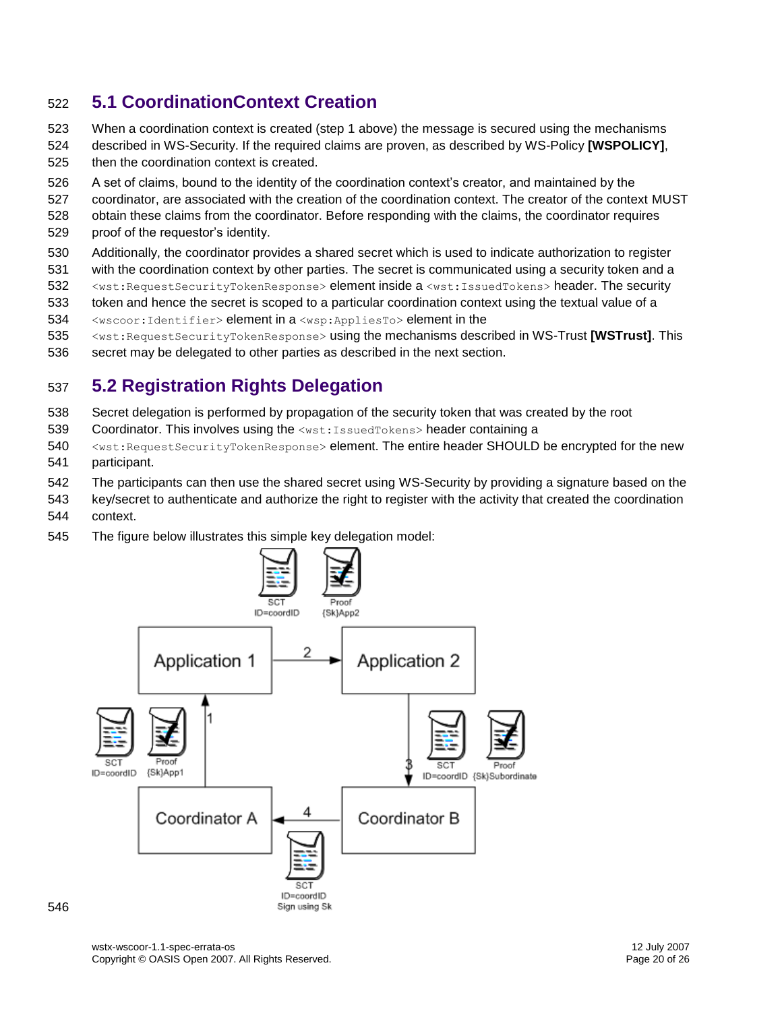### <span id="page-19-0"></span>**5.1 CoordinationContext Creation**

- When a coordination context is created (step 1 above) the message is secured using the mechanisms described in WS-Security. If the required claims are proven, as described by WS-Policy **[\[WSPOLICY\]](#page-7-7)**,
- then the coordination context is created.
- A set of claims, bound to the identity of the coordination context's creator, and maintained by the
- coordinator, are associated with the creation of the coordination context. The creator of the context MUST
- obtain these claims from the coordinator. Before responding with the claims, the coordinator requires proof of the requestor's identity.
- Additionally, the coordinator provides a shared secret which is used to indicate authorization to register
- with the coordination context by other parties. The secret is communicated using a security token and a
- 532 <wst:RequestSecurityTokenResponse> element inside a <wst:IssuedTokens> header. The security
- token and hence the secret is scoped to a particular coordination context using the textual value of a
- <wscoor:Identifier> element in a <wsp:AppliesTo> element in the
- <wst:RequestSecurityTokenResponse> using the mechanisms described in WS-Trust**[\[WSTrust\]](#page-7-6)**. This
- secret may be delegated to other parties as described in the next section.

### <span id="page-19-1"></span>**5.2 Registration Rights Delegation**

- Secret delegation is performed by propagation of the security token that was created by the root
- 539 Coordinator. This involves using the <wst:IssuedTokens> header containing a
- 540 <wst:RequestSecurityTokenResponse> element. The entire header SHOULD be encrypted for the new participant.
- The participants can then use the shared secret using WS-Security by providing a signature based on the
- key/secret to authenticate and authorize the right to register with the activity that created the coordination context.
- The figure below illustrates this simple key delegation model:

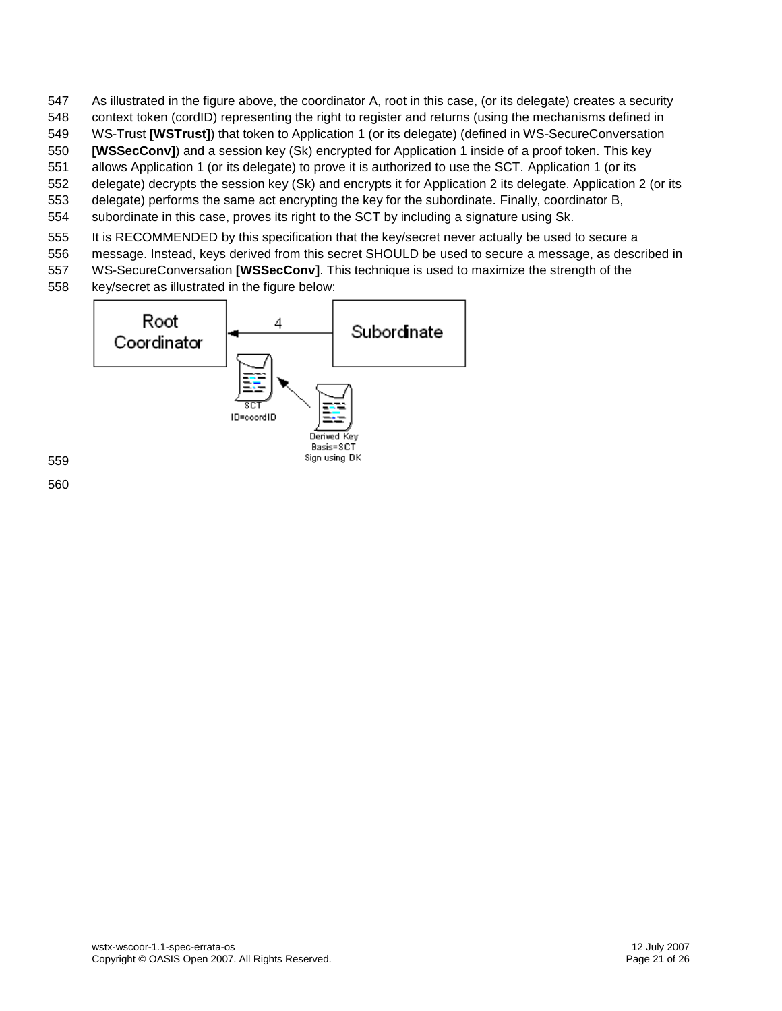- As illustrated in the figure above, the coordinator A, root in this case, (or its delegate) creates a security
- context token (cordID) representing the right to register and returns (using the mechanisms defined in
- WS-Trust**[\[WSTrust\]](#page-7-6)**) that token to Application 1 (or its delegate) (defined in WS-SecureConversation
- **[\[WSSecConv\]](#page-7-8)**) and a session key (Sk) encrypted for Application 1 inside of a proof token. This key allows Application 1 (or its delegate) to prove it is authorized to use the SCT. Application 1 (or its
- delegate) decrypts the session key (Sk) and encrypts it for Application 2 its delegate. Application 2 (or its
- delegate) performs the same act encrypting the key for the subordinate. Finally, coordinator B,
- subordinate in this case, proves its right to the SCT by including a signature using Sk.
- It is RECOMMENDED by this specification that the key/secret never actually be used to secure a
- message. Instead, keys derived from this secret SHOULD be used to secure a message, as described in
- WS-SecureConversation **[\[WSSecConv\]](#page-7-8)**. This technique is used to maximize the strength of the
- key/secret as illustrated in the figure below:

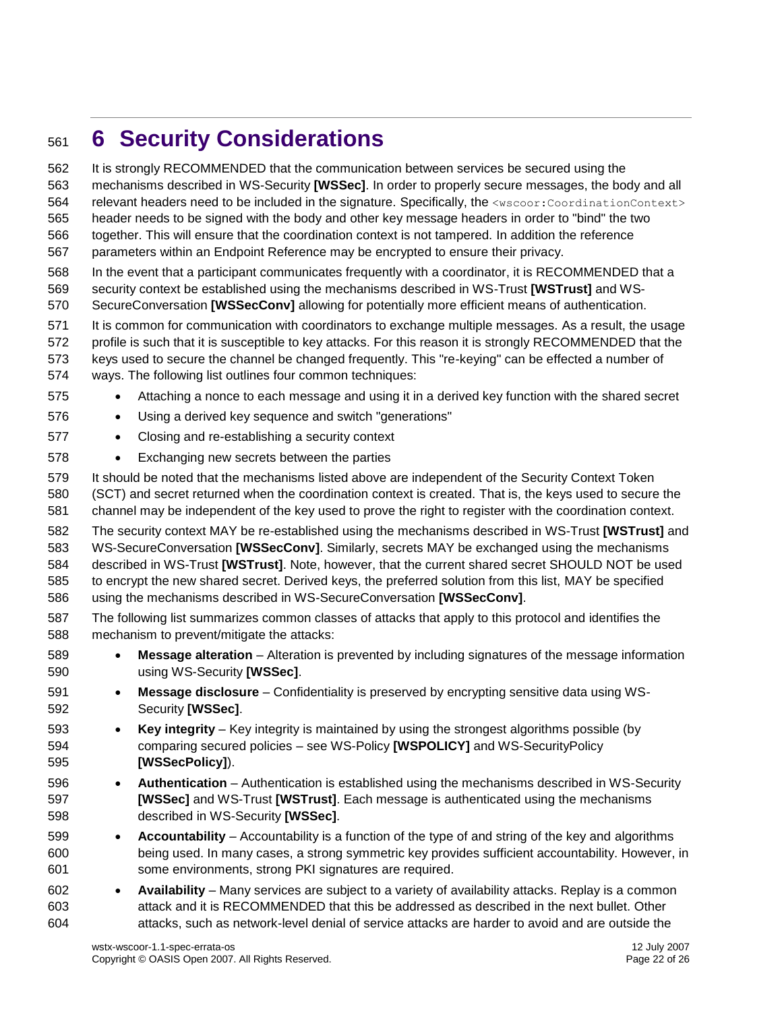# <span id="page-21-0"></span>**6 Security Considerations**

 It is strongly RECOMMENDED that the communication between services be secured using the mechanisms described in WS-Security **[\[WSSec\]](#page-7-5)**. In order to properly secure messages, the body and all 564 relevant headers need to be included in the signature. Specifically, the <wscoor:CoordinationContext> header needs to be signed with the body and other key message headers in order to "bind" the two together. This will ensure that the coordination context is not tampered. In addition the reference parameters within an Endpoint Reference may be encrypted to ensure their privacy. In the event that a participant communicates frequently with a coordinator, it is RECOMMENDED that a security context be established using the mechanisms described in WS-Trust**[\[WSTrust\]](#page-7-6)** and WS- SecureConversation **[\[WSSecConv\]](#page-7-8)** allowing for potentially more efficient means of authentication. It is common for communication with coordinators to exchange multiple messages. As a result, the usage profile is such that it is susceptible to key attacks. For this reason it is strongly RECOMMENDED that the keys used to secure the channel be changed frequently. This "re-keying" can be effected a number of ways. The following list outlines four common techniques: 575 • Attaching a nonce to each message and using it in a derived key function with the shared secret Using a derived key sequence and switch "generations" **•** Closing and re-establishing a security context Exchanging new secrets between the parties It should be noted that the mechanisms listed above are independent of the Security Context Token (SCT) and secret returned when the coordination context is created. That is, the keys used to secure the channel may be independent of the key used to prove the right to register with the coordination context. The security context MAY be re-established using the mechanisms described in WS-Trust**[\[WSTrust\]](#page-7-6)** and WS-SecureConversation **[\[WSSecConv\]](#page-7-8)**. Similarly, secrets MAY be exchanged using the mechanisms described in WS-Trust **[\[WSTrust\]](#page-7-6)**. Note, however, that the current shared secret SHOULD NOT be used to encrypt the new shared secret. Derived keys, the preferred solution from this list, MAY be specified using the mechanisms described in WS-SecureConversation **[\[WSSecConv\]](#page-7-8)**. The following list summarizes common classes of attacks that apply to this protocol and identifies the mechanism to prevent/mitigate the attacks: **Message alteration** – Alteration is prevented by including signatures of the message information using WS-Security **[\[WSSec\]](#page-7-5)**. **Message disclosure** – Confidentiality is preserved by encrypting sensitive data using WS- Security **[\[WSSec\]](#page-7-5)**. **Key integrity** – Key integrity is maintained by using the strongest algorithms possible (by comparing secured policies – see WS-Policy **[\[WSPOLICY\]](#page-7-7)** and WS-SecurityPolicy **[\[WSSecPolicy\]](#page-7-9)**). **Authentication** – Authentication is established using the mechanisms described in WS-Security **[\[WSSec\]](#page-7-5)** and WS-Trust **[\[WSTrust\]](#page-7-6)**. Each message is authenticated using the mechanisms described in WS-Security **[\[WSSec\]](#page-7-5)**. **Accountability** – Accountability is a function of the type of and string of the key and algorithms being used. In many cases, a strong symmetric key provides sufficient accountability. However, in some environments, strong PKI signatures are required. **Availability** – Many services are subject to a variety of availability attacks. Replay is a common attack and it is RECOMMENDED that this be addressed as described in the next bullet. Other attacks, such as network-level denial of service attacks are harder to avoid and are outside the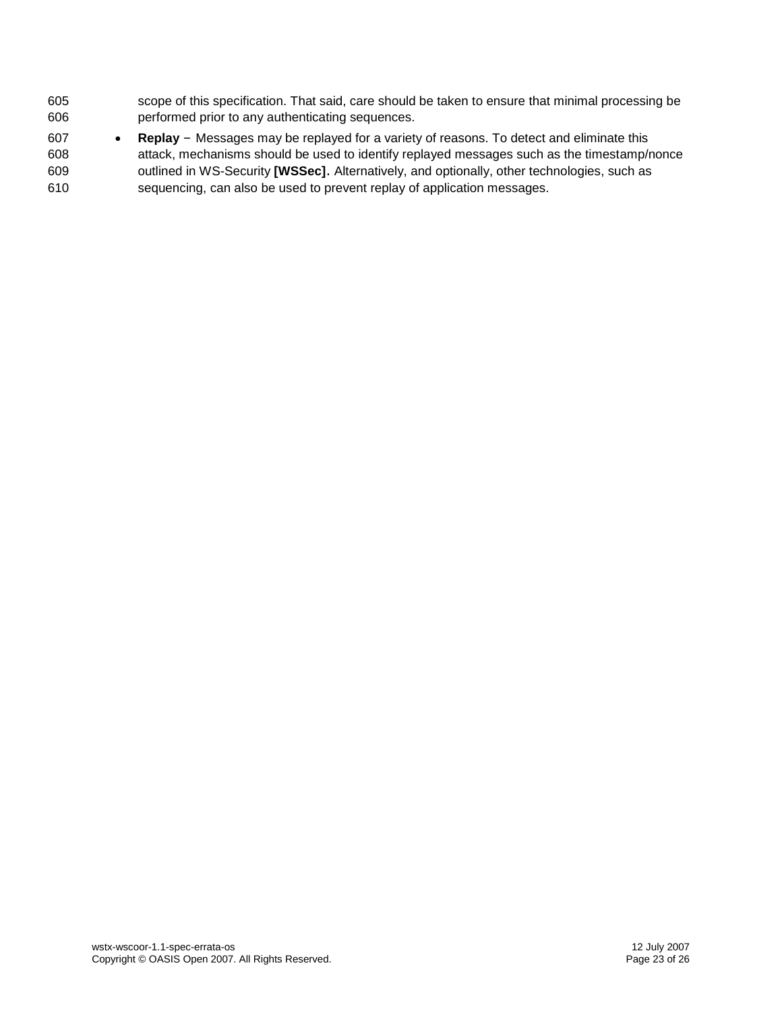- scope of this specification. That said, care should be taken to ensure that minimal processing be performed prior to any authenticating sequences.
- **Replay**  Messages may be replayed for a variety of reasons. To detect and eliminate this attack, mechanisms should be used to identify replayed messages such as the timestamp/nonce outlined in WS-Security**[\[WSSec\]](#page-7-5)**. Alternatively, and optionally, other technologies, such as sequencing, can also be used to prevent replay of application messages.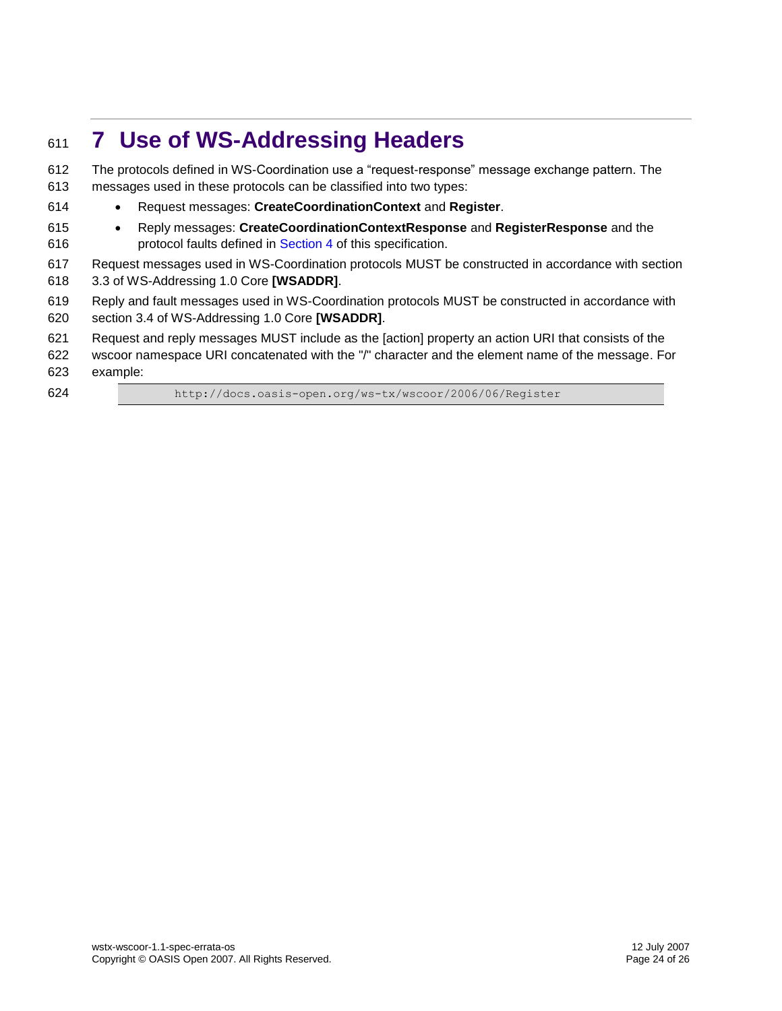# <span id="page-23-0"></span>**7 Use of WS-Addressing Headers**

 The protocols defined in WS-Coordination use a "request-response" message exchange pattern. The messages used in these protocols can be classified into two types: Request messages: **CreateCoordinationContext** and **Register**. Reply messages: **CreateCoordinationContextResponse** and **RegisterResponse** and the **protocol faults defined in [Section 4](#page-15-0) of this specification.**  Request messages used in WS-Coordination protocols MUST be constructed in accordance with section 3.3 of WS-Addressing 1.0 Core **[\[WSADDR\]](#page-7-4)**. Reply and fault messages used in WS-Coordination protocols MUST be constructed in accordance with section 3.4 of WS-Addressing 1.0 Core **[\[WSADDR\]](#page-7-4)**. Request and reply messages MUST include as the [action] property an action URI that consists of the wscoor namespace URI concatenated with the "/" character and the element name of the message. For example: http://docs.oasis-open.org/ws-tx/wscoor/2006/06/Register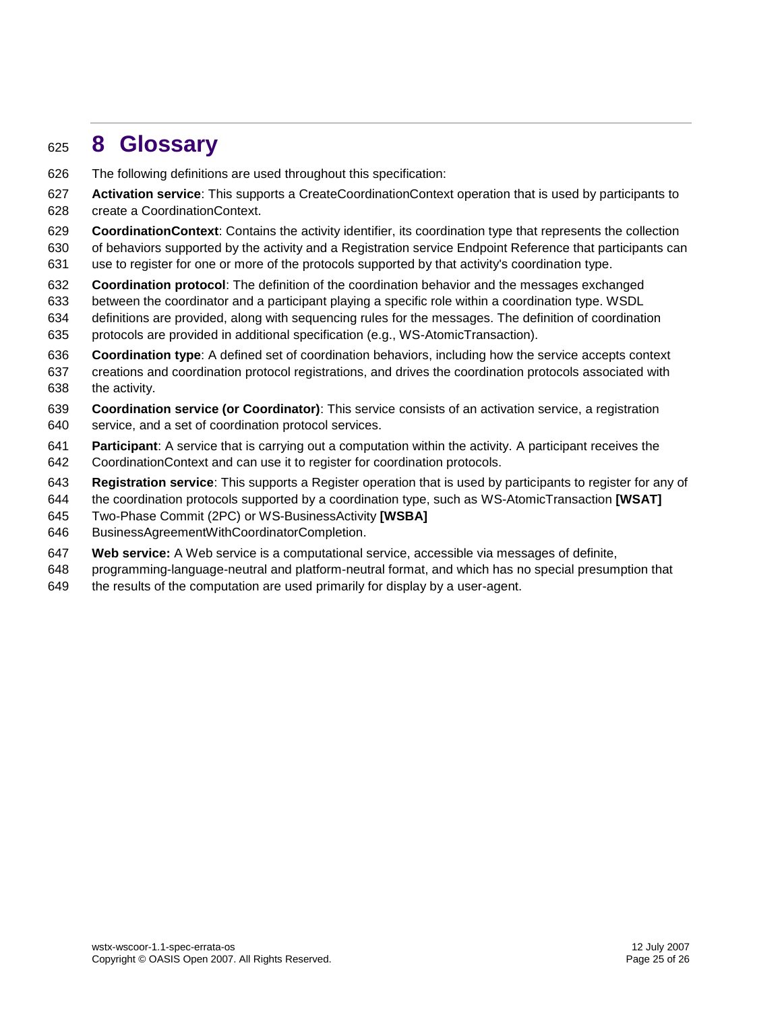# <span id="page-24-0"></span>**8 Glossary**

- The following definitions are used throughout this specification:
- **Activation service**: This supports a CreateCoordinationContext operation that is used by participants to create a CoordinationContext.
- **CoordinationContext**: Contains the activity identifier, its coordination type that represents the collection
- of behaviors supported by the activity and a Registration service Endpoint Reference that participants can
- use to register for one or more of the protocols supported by that activity's coordination type.
- **Coordination protocol**: The definition of the coordination behavior and the messages exchanged
- between the coordinator and a participant playing a specific role within a coordination type. WSDL
- definitions are provided, along with sequencing rules for the messages. The definition of coordination protocols are provided in additional specification (e.g., WS-AtomicTransaction).
- **Coordination type**: A defined set of coordination behaviors, including how the service accepts context
- creations and coordination protocol registrations, and drives the coordination protocols associated with the activity.
- **Coordination service (or Coordinator)**: This service consists of an activation service, a registration service, and a set of coordination protocol services.
- **Participant**: A service that is carrying out a computation within the activity. A participant receives the CoordinationContext and can use it to register for coordination protocols.
- **Registration service**: This supports a Register operation that is used by participants to register for any of
- the coordination protocols supported by a coordination type, such as WS-AtomicTransaction **[\[WSAT\]](#page-7-2)**
- Two-Phase Commit (2PC) or WS-BusinessActivity **[\[WSBA\]](#page-7-3)**
- BusinessAgreementWithCoordinatorCompletion.
- **Web service:** A Web service is a computational service, accessible via messages of definite,
- programming-language-neutral and platform-neutral format, and which has no special presumption that
- the results of the computation are used primarily for display by a user-agent.